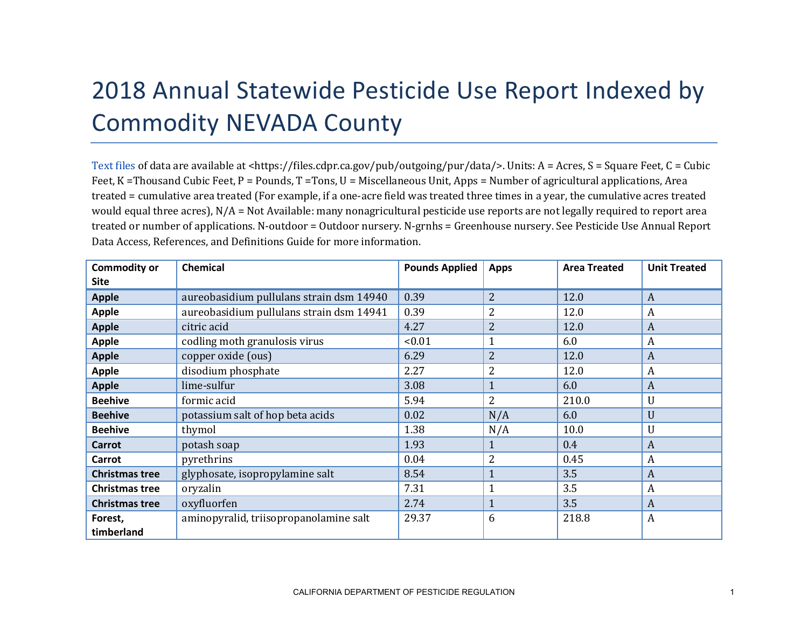## 2018 Annual Statewide Pesticide Use Report Indexed by Commodity NEVADA County

[Text files](https://files.cdpr.ca.gov/pub/outgoing/pur/data/) of data are available at <https://files.cdpr.ca.gov/pub/outgoing/pur/data/>. Units: A = Acres, S = Square Feet, C = Cubic Feet, K = Thousand Cubic Feet, P = Pounds, T = Tons, U = Miscellaneous Unit, Apps = Number of agricultural applications, Area treated = cumulative area treated (For example, if a one-acre field was treated three times in a year, the cumulative acres treated would equal three acres),  $N/A = Not$  Available: many nonagricultural pesticide use reports are not legally required to report area treated or number of applications. N-outdoor = Outdoor nursery. N-grnhs = Greenhouse nursery. See Pesticide Use Annual Report Data Access, References, and Definitions Guide for more information.

| <b>Commodity or</b><br><b>Site</b> | <b>Chemical</b>                          | <b>Pounds Applied</b> | <b>Apps</b>    | <b>Area Treated</b> | <b>Unit Treated</b> |
|------------------------------------|------------------------------------------|-----------------------|----------------|---------------------|---------------------|
| <b>Apple</b>                       | aureobasidium pullulans strain dsm 14940 | 0.39                  | $\overline{2}$ | 12.0                | $\boldsymbol{A}$    |
| Apple                              | aureobasidium pullulans strain dsm 14941 | 0.39                  | $\overline{2}$ | 12.0                | $\boldsymbol{A}$    |
| <b>Apple</b>                       | citric acid                              | 4.27                  | $\overline{2}$ | 12.0                | $\mathbf{A}$        |
| <b>Apple</b>                       | codling moth granulosis virus            | < 0.01                | $\mathbf{1}$   | 6.0                 | $\boldsymbol{A}$    |
| <b>Apple</b>                       | copper oxide (ous)                       | 6.29                  | $\overline{2}$ | 12.0                | $\boldsymbol{A}$    |
| <b>Apple</b>                       | disodium phosphate                       | 2.27                  | $\overline{2}$ | 12.0                | A                   |
| <b>Apple</b>                       | lime-sulfur                              | 3.08                  | $\mathbf{1}$   | 6.0                 | $\boldsymbol{A}$    |
| <b>Beehive</b>                     | formic acid                              | 5.94                  | 2              | 210.0               | U                   |
| <b>Beehive</b>                     | potassium salt of hop beta acids         | 0.02                  | N/A            | 6.0                 | U                   |
| <b>Beehive</b>                     | thymol                                   | 1.38                  | N/A            | 10.0                | U                   |
| <b>Carrot</b>                      | potash soap                              | 1.93                  | $\mathbf{1}$   | 0.4                 | $\boldsymbol{A}$    |
| Carrot                             | pyrethrins                               | 0.04                  | 2              | 0.45                | $\boldsymbol{A}$    |
| <b>Christmas tree</b>              | glyphosate, isopropylamine salt          | 8.54                  | $\mathbf{1}$   | 3.5                 | $\boldsymbol{A}$    |
| <b>Christmas tree</b>              | oryzalin                                 | 7.31                  | $\mathbf{1}$   | 3.5                 | A                   |
| <b>Christmas tree</b>              | oxyfluorfen                              | 2.74                  | $\mathbf{1}$   | 3.5                 | $\boldsymbol{A}$    |
| Forest,<br>timberland              | aminopyralid, triisopropanolamine salt   | 29.37                 | 6              | 218.8               | $\boldsymbol{A}$    |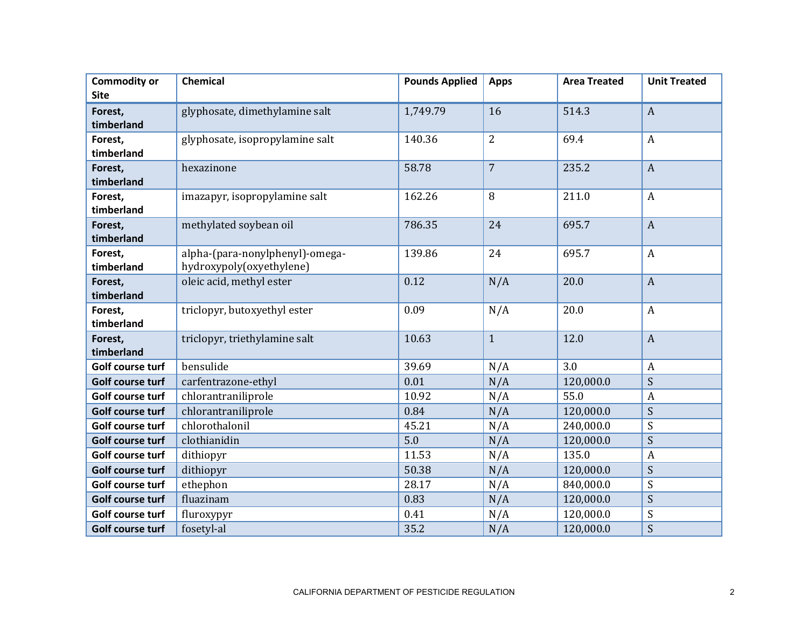| <b>Commodity or</b>   | <b>Chemical</b>                                             | <b>Pounds Applied</b> | <b>Apps</b>    | <b>Area Treated</b> | <b>Unit Treated</b> |
|-----------------------|-------------------------------------------------------------|-----------------------|----------------|---------------------|---------------------|
| <b>Site</b>           |                                                             |                       |                |                     |                     |
| Forest,               | glyphosate, dimethylamine salt                              | 1,749.79              | 16             | 514.3               | $\overline{A}$      |
| timberland            |                                                             |                       |                |                     |                     |
| Forest,               | glyphosate, isopropylamine salt                             | 140.36                | $\overline{2}$ | 69.4                | $\boldsymbol{A}$    |
| timberland            |                                                             |                       |                |                     |                     |
| Forest,               | hexazinone                                                  | 58.78                 | $\overline{7}$ | 235.2               | $\overline{A}$      |
| timberland            |                                                             |                       |                |                     |                     |
| Forest,               | imazapyr, isopropylamine salt                               | 162.26                | 8              | 211.0               | $\boldsymbol{A}$    |
| timberland            |                                                             |                       |                |                     |                     |
| Forest,<br>timberland | methylated soybean oil                                      | 786.35                | 24             | 695.7               | $\mathbf{A}$        |
|                       |                                                             |                       |                |                     |                     |
| Forest,<br>timberland | alpha-(para-nonylphenyl)-omega-<br>hydroxypoly(oxyethylene) | 139.86                | 24             | 695.7               | $\boldsymbol{A}$    |
|                       | oleic acid, methyl ester                                    | 0.12                  | N/A            | 20.0                | $\overline{A}$      |
| Forest,<br>timberland |                                                             |                       |                |                     |                     |
| Forest,               | triclopyr, butoxyethyl ester                                | 0.09                  | N/A            | 20.0                | $\boldsymbol{A}$    |
| timberland            |                                                             |                       |                |                     |                     |
| Forest,               | triclopyr, triethylamine salt                               | 10.63                 | $\mathbf{1}$   | 12.0                | $\overline{A}$      |
| timberland            |                                                             |                       |                |                     |                     |
| Golf course turf      | bensulide                                                   | 39.69                 | N/A            | 3.0                 | $\boldsymbol{A}$    |
| Golf course turf      | carfentrazone-ethyl                                         | 0.01                  | N/A            | 120,000.0           | S                   |
| Golf course turf      | chlorantraniliprole                                         | 10.92                 | N/A            | 55.0                | $\boldsymbol{A}$    |
| Golf course turf      | chlorantraniliprole                                         | 0.84                  | N/A            | 120,000.0           | S                   |
| Golf course turf      | chlorothalonil                                              | 45.21                 | N/A            | 240,000.0           | S                   |
| Golf course turf      | clothianidin                                                | 5.0                   | N/A            | 120,000.0           | S                   |
| Golf course turf      | dithiopyr                                                   | 11.53                 | N/A            | 135.0               | $\boldsymbol{A}$    |
| Golf course turf      | dithiopyr                                                   | 50.38                 | N/A            | 120,000.0           | S                   |
| Golf course turf      | ethephon                                                    | 28.17                 | N/A            | 840,000.0           | $\boldsymbol{S}$    |
| Golf course turf      | fluazinam                                                   | 0.83                  | N/A            | 120,000.0           | S                   |
| Golf course turf      | fluroxypyr                                                  | 0.41                  | N/A            | 120,000.0           | S                   |
| Golf course turf      | fosetyl-al                                                  | 35.2                  | N/A            | 120,000.0           | S                   |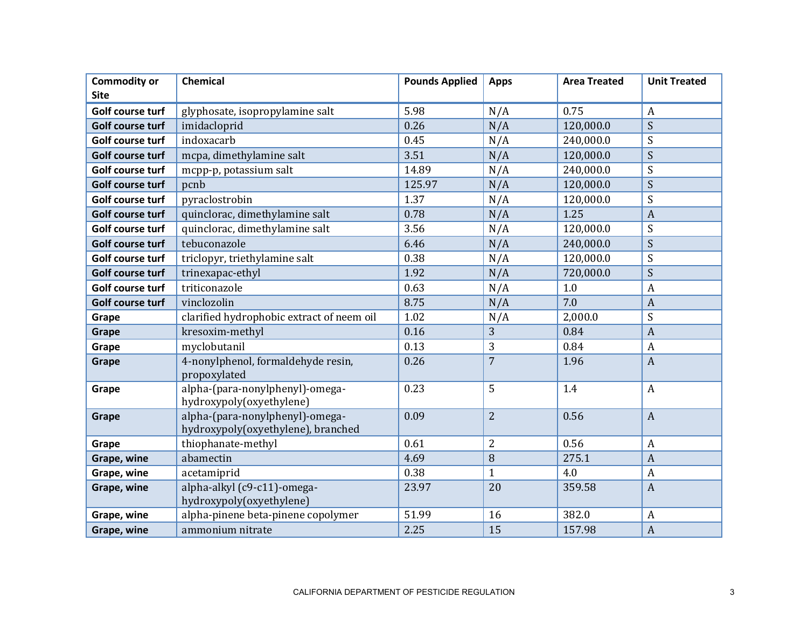| <b>Commodity or</b> | <b>Chemical</b>                                                       | <b>Pounds Applied</b> | <b>Apps</b>    | <b>Area Treated</b> | <b>Unit Treated</b> |
|---------------------|-----------------------------------------------------------------------|-----------------------|----------------|---------------------|---------------------|
| <b>Site</b>         |                                                                       |                       |                |                     |                     |
| Golf course turf    | glyphosate, isopropylamine salt                                       | 5.98                  | N/A            | 0.75                | $\overline{A}$      |
| Golf course turf    | imidacloprid                                                          | 0.26                  | N/A            | 120,000.0           | S                   |
| Golf course turf    | indoxacarb                                                            | 0.45                  | N/A            | 240,000.0           | S                   |
| Golf course turf    | mcpa, dimethylamine salt                                              | 3.51                  | N/A            | 120,000.0           | S                   |
| Golf course turf    | mcpp-p, potassium salt                                                | 14.89                 | N/A            | 240,000.0           | S                   |
| Golf course turf    | pcnb                                                                  | 125.97                | N/A            | 120,000.0           | S                   |
| Golf course turf    | pyraclostrobin                                                        | 1.37                  | N/A            | 120,000.0           | S                   |
| Golf course turf    | quinclorac, dimethylamine salt                                        | 0.78                  | N/A            | 1.25                | $\overline{A}$      |
| Golf course turf    | quinclorac, dimethylamine salt                                        | 3.56                  | N/A            | 120,000.0           | S                   |
| Golf course turf    | tebuconazole                                                          | 6.46                  | N/A            | 240,000.0           | S                   |
| Golf course turf    | triclopyr, triethylamine salt                                         | 0.38                  | N/A            | 120,000.0           | S                   |
| Golf course turf    | trinexapac-ethyl                                                      | 1.92                  | N/A            | 720,000.0           | S                   |
| Golf course turf    | triticonazole                                                         | 0.63                  | N/A            | 1.0                 | $\boldsymbol{A}$    |
| Golf course turf    | vinclozolin                                                           | 8.75                  | N/A            | 7.0                 | $\overline{A}$      |
| Grape               | clarified hydrophobic extract of neem oil                             | 1.02                  | N/A            | 2,000.0             | S                   |
| Grape               | kresoxim-methyl                                                       | 0.16                  | 3              | 0.84                | $\overline{A}$      |
| Grape               | myclobutanil                                                          | 0.13                  | 3              | 0.84                | $\overline{A}$      |
| Grape               | 4-nonylphenol, formaldehyde resin,<br>propoxylated                    | 0.26                  | $\overline{7}$ | 1.96                | $\overline{A}$      |
| Grape               | alpha-(para-nonylphenyl)-omega-<br>hydroxypoly(oxyethylene)           | 0.23                  | 5              | 1.4                 | $\boldsymbol{A}$    |
| Grape               | alpha-(para-nonylphenyl)-omega-<br>hydroxypoly(oxyethylene), branched | 0.09                  | $\overline{2}$ | 0.56                | $\overline{A}$      |
| Grape               | thiophanate-methyl                                                    | 0.61                  | $\overline{2}$ | 0.56                | $\overline{A}$      |
| Grape, wine         | abamectin                                                             | 4.69                  | 8              | 275.1               | $\overline{A}$      |
| Grape, wine         | acetamiprid                                                           | 0.38                  | $\mathbf{1}$   | 4.0                 | $\boldsymbol{A}$    |
| Grape, wine         | alpha-alkyl (c9-c11)-omega-<br>hydroxypoly(oxyethylene)               | 23.97                 | 20             | 359.58              | $\overline{A}$      |
| Grape, wine         | alpha-pinene beta-pinene copolymer                                    | 51.99                 | 16             | 382.0               | $\overline{A}$      |
| Grape, wine         | ammonium nitrate                                                      | 2.25                  | 15             | 157.98              | $\overline{A}$      |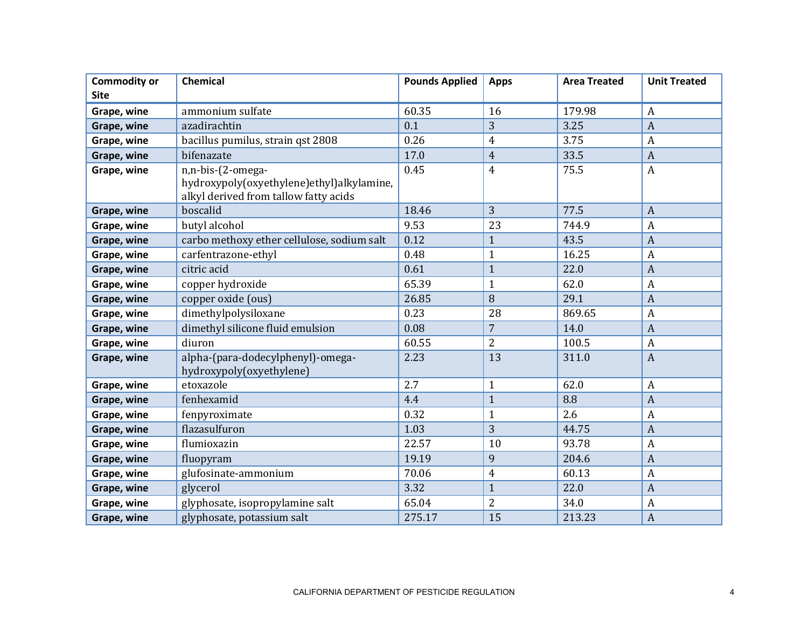| <b>Commodity or</b> | <b>Chemical</b>                                                                                         | <b>Pounds Applied</b> | <b>Apps</b>    | <b>Area Treated</b> | <b>Unit Treated</b> |
|---------------------|---------------------------------------------------------------------------------------------------------|-----------------------|----------------|---------------------|---------------------|
| <b>Site</b>         |                                                                                                         |                       |                |                     |                     |
| Grape, wine         | ammonium sulfate                                                                                        | 60.35                 | 16             | 179.98              | $\boldsymbol{A}$    |
| Grape, wine         | azadirachtin                                                                                            | 0.1                   | 3              | 3.25                | $\overline{A}$      |
| Grape, wine         | bacillus pumilus, strain qst 2808                                                                       | 0.26                  | $\overline{4}$ | 3.75                | $\boldsymbol{A}$    |
| Grape, wine         | bifenazate                                                                                              | 17.0                  | $\overline{4}$ | 33.5                | $\overline{A}$      |
| Grape, wine         | n,n-bis-(2-omega-<br>hydroxypoly(oxyethylene)ethyl)alkylamine,<br>alkyl derived from tallow fatty acids | 0.45                  | $\overline{4}$ | 75.5                | $\boldsymbol{A}$    |
| Grape, wine         | boscalid                                                                                                | 18.46                 | $\overline{3}$ | 77.5                | $\overline{A}$      |
| Grape, wine         | butyl alcohol                                                                                           | 9.53                  | 23             | 744.9               | $\overline{A}$      |
| Grape, wine         | carbo methoxy ether cellulose, sodium salt                                                              | 0.12                  | $\mathbf{1}$   | 43.5                | $\overline{A}$      |
| Grape, wine         | carfentrazone-ethyl                                                                                     | 0.48                  | $\mathbf{1}$   | 16.25               | $\overline{A}$      |
| Grape, wine         | citric acid                                                                                             | 0.61                  | $\mathbf{1}$   | 22.0                | $\overline{A}$      |
| Grape, wine         | copper hydroxide                                                                                        | 65.39                 | $\mathbf{1}$   | 62.0                | $\overline{A}$      |
| Grape, wine         | copper oxide (ous)                                                                                      | 26.85                 | 8              | 29.1                | $\overline{A}$      |
| Grape, wine         | dimethylpolysiloxane                                                                                    | 0.23                  | 28             | 869.65              | $\overline{A}$      |
| Grape, wine         | dimethyl silicone fluid emulsion                                                                        | 0.08                  | $\overline{7}$ | 14.0                | $\overline{A}$      |
| Grape, wine         | diuron                                                                                                  | 60.55                 | $\overline{2}$ | 100.5               | $\overline{A}$      |
| Grape, wine         | alpha-(para-dodecylphenyl)-omega-<br>hydroxypoly(oxyethylene)                                           | 2.23                  | 13             | 311.0               | $\boldsymbol{A}$    |
| Grape, wine         | etoxazole                                                                                               | 2.7                   | $\mathbf{1}$   | 62.0                | $\boldsymbol{A}$    |
| Grape, wine         | fenhexamid                                                                                              | 4.4                   | $\mathbf{1}$   | 8.8                 | $\overline{A}$      |
| Grape, wine         | fenpyroximate                                                                                           | 0.32                  | $\mathbf{1}$   | 2.6                 | $\overline{A}$      |
| Grape, wine         | flazasulfuron                                                                                           | 1.03                  | 3              | 44.75               | $\overline{A}$      |
| Grape, wine         | flumioxazin                                                                                             | 22.57                 | 10             | 93.78               | $\overline{A}$      |
| Grape, wine         | fluopyram                                                                                               | 19.19                 | 9              | 204.6               | $\overline{A}$      |
| Grape, wine         | glufosinate-ammonium                                                                                    | 70.06                 | 4              | 60.13               | $\overline{A}$      |
| Grape, wine         | glycerol                                                                                                | 3.32                  | $\mathbf{1}$   | 22.0                | $\boldsymbol{A}$    |
| Grape, wine         | glyphosate, isopropylamine salt                                                                         | 65.04                 | $\overline{2}$ | 34.0                | $\boldsymbol{A}$    |
| Grape, wine         | glyphosate, potassium salt                                                                              | 275.17                | 15             | 213.23              | $\overline{A}$      |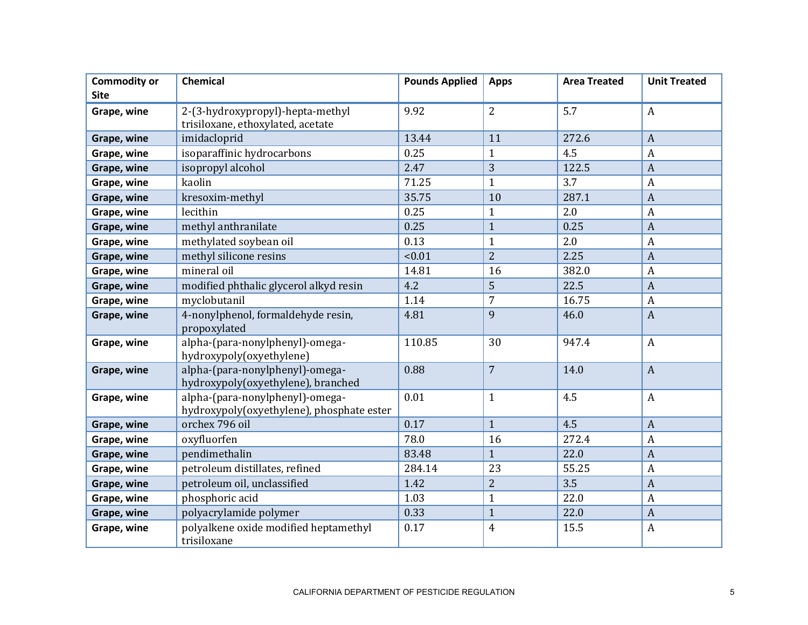| <b>Commodity or</b><br><b>Site</b> | <b>Chemical</b>                                                              | <b>Pounds Applied</b> | <b>Apps</b>    | <b>Area Treated</b> | <b>Unit Treated</b> |
|------------------------------------|------------------------------------------------------------------------------|-----------------------|----------------|---------------------|---------------------|
|                                    |                                                                              |                       |                |                     |                     |
| Grape, wine                        | 2-(3-hydroxypropyl)-hepta-methyl<br>trisiloxane, ethoxylated, acetate        | 9.92                  | $\overline{2}$ | 5.7                 | $\boldsymbol{A}$    |
| Grape, wine                        | imidacloprid                                                                 | 13.44                 | 11             | 272.6               | $\overline{A}$      |
| Grape, wine                        | isoparaffinic hydrocarbons                                                   | 0.25                  | $\mathbf{1}$   | 4.5                 | $\boldsymbol{A}$    |
| Grape, wine                        | isopropyl alcohol                                                            | 2.47                  | $\overline{3}$ | 122.5               | $\overline{A}$      |
| Grape, wine                        | kaolin                                                                       | 71.25                 | $\mathbf{1}$   | 3.7                 | $\overline{A}$      |
| Grape, wine                        | kresoxim-methyl                                                              | 35.75                 | 10             | 287.1               | $\overline{A}$      |
| Grape, wine                        | lecithin                                                                     | 0.25                  | $\mathbf{1}$   | 2.0                 | $\overline{A}$      |
| Grape, wine                        | methyl anthranilate                                                          | 0.25                  | $\mathbf{1}$   | 0.25                | $\overline{A}$      |
| Grape, wine                        | methylated soybean oil                                                       | 0.13                  | $\mathbf{1}$   | 2.0                 | $\boldsymbol{A}$    |
| Grape, wine                        | methyl silicone resins                                                       | < 0.01                | $\overline{2}$ | 2.25                | $\overline{A}$      |
| Grape, wine                        | mineral oil                                                                  | 14.81                 | 16             | 382.0               | $\overline{A}$      |
| Grape, wine                        | modified phthalic glycerol alkyd resin                                       | 4.2                   | 5              | 22.5                | $\overline{A}$      |
| Grape, wine                        | myclobutanil                                                                 | 1.14                  | $\overline{7}$ | 16.75               | $\overline{A}$      |
| Grape, wine                        | 4-nonylphenol, formaldehyde resin,<br>propoxylated                           | 4.81                  | 9              | 46.0                | $\overline{A}$      |
| Grape, wine                        | alpha-(para-nonylphenyl)-omega-<br>hydroxypoly(oxyethylene)                  | 110.85                | 30             | 947.4               | $\boldsymbol{A}$    |
| Grape, wine                        | alpha-(para-nonylphenyl)-omega-<br>hydroxypoly(oxyethylene), branched        | 0.88                  | $\overline{7}$ | 14.0                | $\overline{A}$      |
| Grape, wine                        | alpha-(para-nonylphenyl)-omega-<br>hydroxypoly(oxyethylene), phosphate ester | 0.01                  | $\mathbf{1}$   | 4.5                 | $\boldsymbol{A}$    |
| Grape, wine                        | orchex 796 oil                                                               | 0.17                  | $\mathbf{1}$   | 4.5                 | $\overline{A}$      |
| Grape, wine                        | oxyfluorfen                                                                  | 78.0                  | 16             | 272.4               | $\overline{A}$      |
| Grape, wine                        | pendimethalin                                                                | 83.48                 | $\mathbf{1}$   | 22.0                | $\overline{A}$      |
| Grape, wine                        | petroleum distillates, refined                                               | 284.14                | 23             | 55.25               | $\overline{A}$      |
| Grape, wine                        | petroleum oil, unclassified                                                  | 1.42                  | $\overline{2}$ | 3.5                 | $\overline{A}$      |
| Grape, wine                        | phosphoric acid                                                              | 1.03                  | $\mathbf{1}$   | 22.0                | $\overline{A}$      |
| Grape, wine                        | polyacrylamide polymer                                                       | 0.33                  | $\mathbf{1}$   | 22.0                | $\overline{A}$      |
| Grape, wine                        | polyalkene oxide modified heptamethyl<br>trisiloxane                         | 0.17                  | $\overline{4}$ | 15.5                | $\overline{A}$      |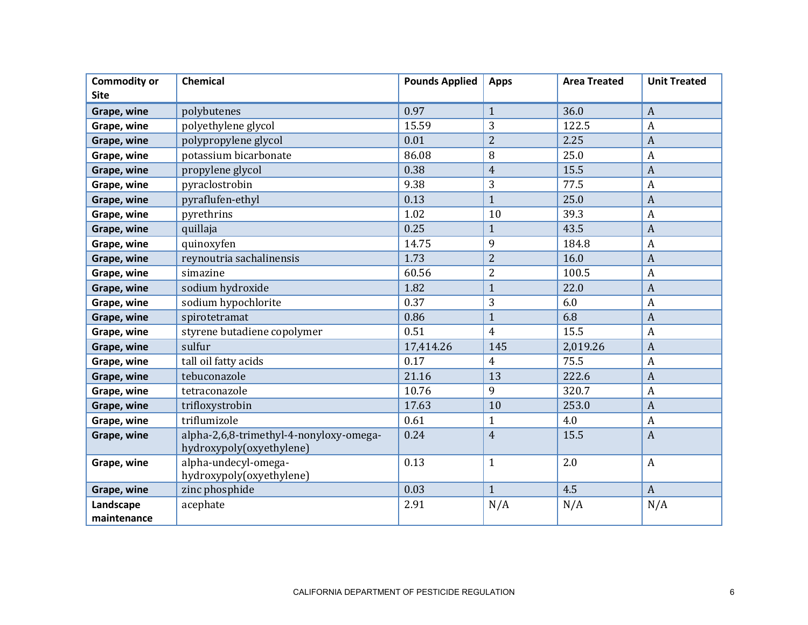| <b>Commodity or</b> | <b>Chemical</b>                                                     | <b>Pounds Applied</b> | <b>Apps</b>    | <b>Area Treated</b> | <b>Unit Treated</b> |
|---------------------|---------------------------------------------------------------------|-----------------------|----------------|---------------------|---------------------|
| <b>Site</b>         |                                                                     |                       |                |                     |                     |
| Grape, wine         | polybutenes                                                         | 0.97                  | $\mathbf{1}$   | 36.0                | $\overline{A}$      |
| Grape, wine         | polyethylene glycol                                                 | 15.59                 | 3              | 122.5               | $\overline{A}$      |
| Grape, wine         | polypropylene glycol                                                | 0.01                  | $\overline{2}$ | 2.25                | $\boldsymbol{A}$    |
| Grape, wine         | potassium bicarbonate                                               | 86.08                 | 8              | 25.0                | $\overline{A}$      |
| Grape, wine         | propylene glycol                                                    | 0.38                  | $\overline{4}$ | 15.5                | $\overline{A}$      |
| Grape, wine         | pyraclostrobin                                                      | 9.38                  | 3              | 77.5                | $\overline{A}$      |
| Grape, wine         | pyraflufen-ethyl                                                    | 0.13                  | $\mathbf{1}$   | 25.0                | $\overline{A}$      |
| Grape, wine         | pyrethrins                                                          | 1.02                  | 10             | 39.3                | $\overline{A}$      |
| Grape, wine         | quillaja                                                            | 0.25                  | $\mathbf{1}$   | 43.5                | $\overline{A}$      |
| Grape, wine         | quinoxyfen                                                          | 14.75                 | 9              | 184.8               | $\boldsymbol{A}$    |
| Grape, wine         | reynoutria sachalinensis                                            | 1.73                  | $\overline{2}$ | 16.0                | $\overline{A}$      |
| Grape, wine         | simazine                                                            | 60.56                 | $\overline{2}$ | 100.5               | $\overline{A}$      |
| Grape, wine         | sodium hydroxide                                                    | 1.82                  | $\mathbf{1}$   | 22.0                | $\overline{A}$      |
| Grape, wine         | sodium hypochlorite                                                 | 0.37                  | 3              | 6.0                 | $\overline{A}$      |
| Grape, wine         | spirotetramat                                                       | 0.86                  | $\mathbf{1}$   | 6.8                 | $\overline{A}$      |
| Grape, wine         | styrene butadiene copolymer                                         | 0.51                  | $\overline{4}$ | 15.5                | $\overline{A}$      |
| Grape, wine         | sulfur                                                              | 17,414.26             | 145            | 2,019.26            | $\overline{A}$      |
| Grape, wine         | tall oil fatty acids                                                | 0.17                  | $\overline{4}$ | 75.5                | $\boldsymbol{A}$    |
| Grape, wine         | tebuconazole                                                        | 21.16                 | 13             | 222.6               | $\overline{A}$      |
| Grape, wine         | tetraconazole                                                       | 10.76                 | 9              | 320.7               | $\overline{A}$      |
| Grape, wine         | trifloxystrobin                                                     | 17.63                 | 10             | 253.0               | $\overline{A}$      |
| Grape, wine         | triflumizole                                                        | 0.61                  | $\mathbf{1}$   | 4.0                 | $\overline{A}$      |
| Grape, wine         | alpha-2,6,8-trimethyl-4-nonyloxy-omega-<br>hydroxypoly(oxyethylene) | 0.24                  | $\overline{4}$ | 15.5                | $\boldsymbol{A}$    |
| Grape, wine         | alpha-undecyl-omega-<br>hydroxypoly(oxyethylene)                    | 0.13                  | $\mathbf{1}$   | 2.0                 | $\boldsymbol{A}$    |
| Grape, wine         | zinc phosphide                                                      | 0.03                  | $\mathbf{1}$   | 4.5                 | $\overline{A}$      |
| Landscape           | acephate                                                            | 2.91                  | N/A            | N/A                 | N/A                 |
| maintenance         |                                                                     |                       |                |                     |                     |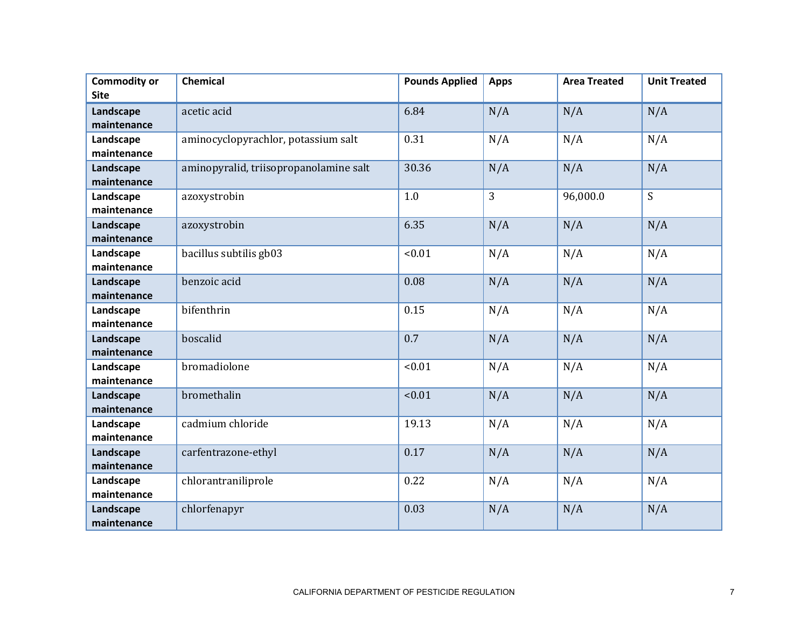| <b>Commodity or</b> | <b>Chemical</b>                        | <b>Pounds Applied</b> | <b>Apps</b> | <b>Area Treated</b> | <b>Unit Treated</b> |
|---------------------|----------------------------------------|-----------------------|-------------|---------------------|---------------------|
| <b>Site</b>         |                                        |                       |             |                     |                     |
| Landscape           | acetic acid                            | 6.84                  | N/A         | N/A                 | N/A                 |
| maintenance         |                                        |                       |             |                     |                     |
| Landscape           | aminocyclopyrachlor, potassium salt    | 0.31                  | N/A         | N/A                 | N/A                 |
| maintenance         |                                        |                       |             |                     |                     |
| Landscape           | aminopyralid, triisopropanolamine salt | 30.36                 | N/A         | N/A                 | N/A                 |
| maintenance         |                                        |                       |             |                     |                     |
| Landscape           | azoxystrobin                           | 1.0                   | 3           | 96,000.0            | S                   |
| maintenance         |                                        |                       |             |                     |                     |
| Landscape           | azoxystrobin                           | 6.35                  | N/A         | N/A                 | N/A                 |
| maintenance         |                                        |                       |             |                     |                     |
| Landscape           | bacillus subtilis gb03                 | < 0.01                | N/A         | N/A                 | N/A                 |
| maintenance         |                                        |                       |             |                     |                     |
| Landscape           | benzoic acid                           | 0.08                  | N/A         | N/A                 | N/A                 |
| maintenance         |                                        |                       |             |                     |                     |
| Landscape           | bifenthrin                             | 0.15                  | N/A         | N/A                 | N/A                 |
| maintenance         |                                        |                       |             |                     |                     |
| Landscape           | boscalid                               | 0.7                   | N/A         | N/A                 | N/A                 |
| maintenance         |                                        |                       |             |                     |                     |
| Landscape           | bromadiolone                           | < 0.01                | N/A         | N/A                 | N/A                 |
| maintenance         |                                        |                       |             |                     |                     |
| Landscape           | bromethalin                            | < 0.01                | N/A         | N/A                 | N/A                 |
| maintenance         |                                        |                       |             |                     |                     |
| Landscape           | cadmium chloride                       | 19.13                 | N/A         | N/A                 | N/A                 |
| maintenance         |                                        |                       |             |                     |                     |
| Landscape           | carfentrazone-ethyl                    | 0.17                  | N/A         | N/A                 | N/A                 |
| maintenance         |                                        |                       |             |                     |                     |
| Landscape           | chlorantraniliprole                    | 0.22                  | N/A         | N/A                 | N/A                 |
| maintenance         |                                        |                       |             |                     |                     |
| Landscape           | chlorfenapyr                           | 0.03                  | N/A         | N/A                 | N/A                 |
| maintenance         |                                        |                       |             |                     |                     |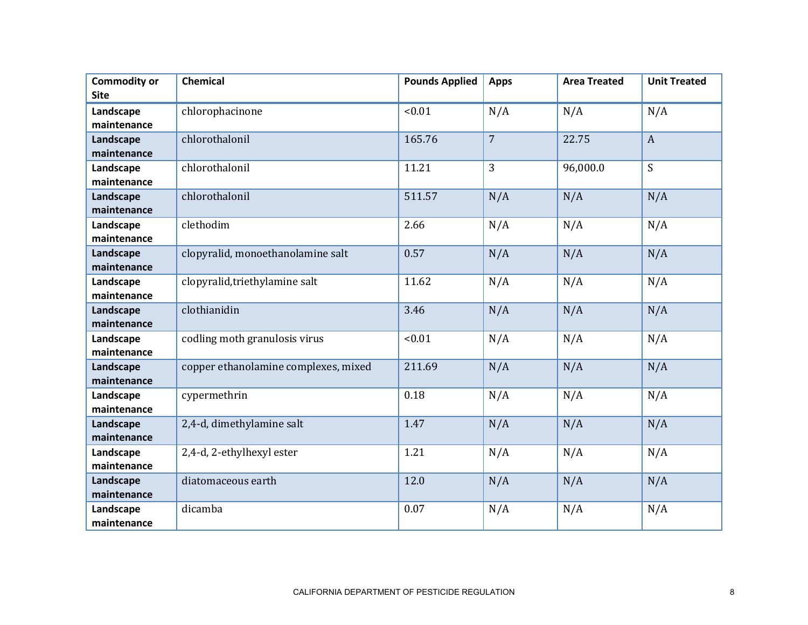| <b>Commodity or</b>      | <b>Chemical</b>                      | <b>Pounds Applied</b> | <b>Apps</b>    | <b>Area Treated</b> | <b>Unit Treated</b> |
|--------------------------|--------------------------------------|-----------------------|----------------|---------------------|---------------------|
| <b>Site</b>              |                                      |                       |                |                     |                     |
| Landscape                | chlorophacinone                      | < 0.01                | N/A            | N/A                 | N/A                 |
| maintenance              |                                      |                       |                |                     |                     |
| Landscape                | chlorothalonil                       | 165.76                | $\overline{7}$ | 22.75               | $\mathbf{A}$        |
| maintenance              |                                      |                       |                |                     |                     |
| Landscape                | chlorothalonil                       | 11.21                 | 3              | 96,000.0            | S                   |
| maintenance              |                                      |                       |                |                     |                     |
| Landscape                | chlorothalonil                       | 511.57                | N/A            | N/A                 | N/A                 |
| maintenance              |                                      |                       |                |                     |                     |
| Landscape                | clethodim                            | 2.66                  | N/A            | N/A                 | N/A                 |
| maintenance              |                                      |                       |                |                     |                     |
| Landscape                | clopyralid, monoethanolamine salt    | 0.57                  | N/A            | N/A                 | N/A                 |
| maintenance              |                                      |                       |                |                     |                     |
| Landscape                | clopyralid, triethylamine salt       | 11.62                 | N/A            | N/A                 | N/A                 |
| maintenance              |                                      |                       |                |                     |                     |
| Landscape                | clothianidin                         | 3.46                  | N/A            | N/A                 | N/A                 |
| maintenance              |                                      |                       |                |                     |                     |
| Landscape                | codling moth granulosis virus        | < 0.01                | N/A            | N/A                 | N/A                 |
| maintenance              |                                      |                       |                |                     |                     |
| Landscape                | copper ethanolamine complexes, mixed | 211.69                | N/A            | N/A                 | N/A                 |
| maintenance              |                                      |                       |                |                     |                     |
| Landscape                | cypermethrin                         | 0.18                  | N/A            | N/A                 | N/A                 |
| maintenance              |                                      | 1.47                  |                |                     |                     |
| Landscape<br>maintenance | 2,4-d, dimethylamine salt            |                       | N/A            | N/A                 | N/A                 |
| Landscape                | 2,4-d, 2-ethylhexyl ester            | 1.21                  | N/A            | N/A                 | N/A                 |
| maintenance              |                                      |                       |                |                     |                     |
| Landscape                | diatomaceous earth                   | 12.0                  | N/A            | N/A                 | N/A                 |
| maintenance              |                                      |                       |                |                     |                     |
| Landscape                | dicamba                              | 0.07                  | N/A            | N/A                 | N/A                 |
| maintenance              |                                      |                       |                |                     |                     |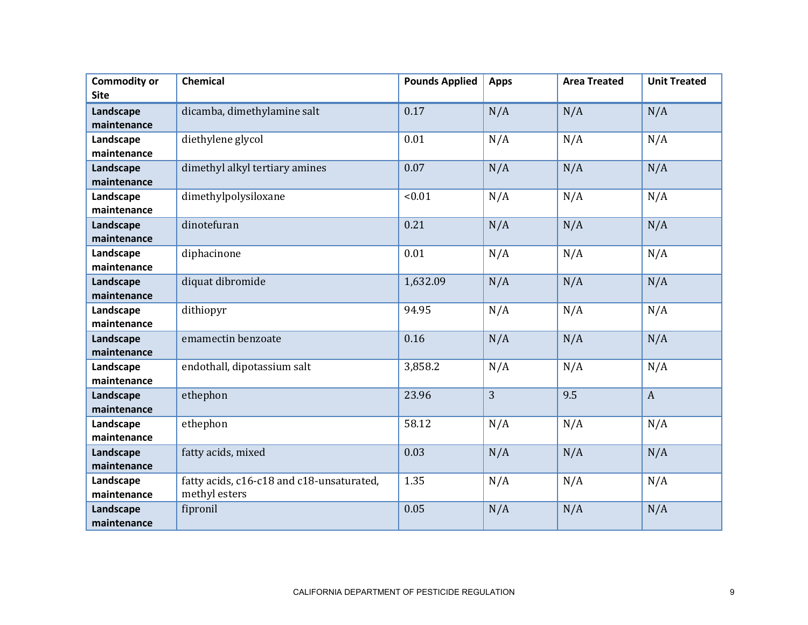| <b>Commodity or</b> | <b>Chemical</b>                           | <b>Pounds Applied</b> | <b>Apps</b>    | <b>Area Treated</b> | <b>Unit Treated</b> |
|---------------------|-------------------------------------------|-----------------------|----------------|---------------------|---------------------|
| <b>Site</b>         |                                           |                       |                |                     |                     |
| Landscape           | dicamba, dimethylamine salt               | 0.17                  | N/A            | N/A                 | N/A                 |
| maintenance         |                                           |                       |                |                     |                     |
| Landscape           | diethylene glycol                         | 0.01                  | N/A            | N/A                 | N/A                 |
| maintenance         |                                           |                       |                |                     |                     |
| Landscape           | dimethyl alkyl tertiary amines            | 0.07                  | N/A            | N/A                 | N/A                 |
| maintenance         |                                           |                       |                |                     |                     |
| Landscape           | dimethylpolysiloxane                      | < 0.01                | N/A            | N/A                 | N/A                 |
| maintenance         |                                           |                       |                |                     |                     |
| Landscape           | dinotefuran                               | 0.21                  | N/A            | N/A                 | N/A                 |
| maintenance         |                                           |                       |                |                     |                     |
| Landscape           | diphacinone                               | 0.01                  | N/A            | N/A                 | N/A                 |
| maintenance         |                                           |                       |                |                     |                     |
| Landscape           | diquat dibromide                          | 1,632.09              | N/A            | N/A                 | N/A                 |
| maintenance         |                                           |                       |                |                     |                     |
| Landscape           | dithiopyr                                 | 94.95                 | N/A            | N/A                 | N/A                 |
| maintenance         |                                           |                       |                |                     |                     |
| Landscape           | emamectin benzoate                        | 0.16                  | N/A            | N/A                 | N/A                 |
| maintenance         |                                           |                       |                |                     |                     |
| Landscape           | endothall, dipotassium salt               | 3,858.2               | N/A            | N/A                 | N/A                 |
| maintenance         |                                           |                       |                |                     |                     |
| Landscape           | ethephon                                  | 23.96                 | $\overline{3}$ | 9.5                 | $\overline{A}$      |
| maintenance         |                                           |                       |                |                     |                     |
| Landscape           | ethephon                                  | 58.12                 | N/A            | N/A                 | N/A                 |
| maintenance         |                                           |                       |                |                     |                     |
| Landscape           | fatty acids, mixed                        | 0.03                  | N/A            | N/A                 | N/A                 |
| maintenance         |                                           |                       |                |                     |                     |
| Landscape           | fatty acids, c16-c18 and c18-unsaturated, | 1.35                  | N/A            | N/A                 | N/A                 |
| maintenance         | methyl esters                             |                       |                |                     |                     |
| Landscape           | fipronil                                  | 0.05                  | N/A            | N/A                 | N/A                 |
| maintenance         |                                           |                       |                |                     |                     |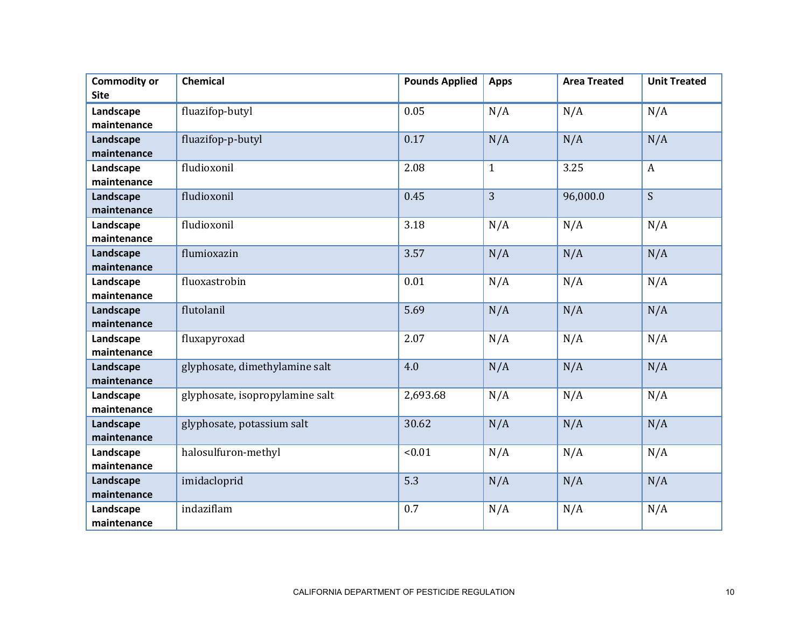| <b>Commodity or</b>      | <b>Chemical</b>                 | <b>Pounds Applied</b> | <b>Apps</b>  | <b>Area Treated</b> | <b>Unit Treated</b> |
|--------------------------|---------------------------------|-----------------------|--------------|---------------------|---------------------|
| <b>Site</b>              |                                 |                       |              |                     |                     |
| Landscape                | fluazifop-butyl                 | 0.05                  | N/A          | N/A                 | N/A                 |
| maintenance              |                                 |                       |              |                     |                     |
| Landscape                | fluazifop-p-butyl               | 0.17                  | N/A          | N/A                 | N/A                 |
| maintenance              |                                 |                       |              |                     |                     |
| Landscape                | fludioxonil                     | 2.08                  | $\mathbf{1}$ | 3.25                | $\boldsymbol{A}$    |
| maintenance              |                                 |                       |              |                     |                     |
| Landscape                | fludioxonil                     | 0.45                  | 3            | 96,000.0            | S                   |
| maintenance              |                                 |                       |              |                     |                     |
| Landscape                | fludioxonil                     | 3.18                  | N/A          | N/A                 | N/A                 |
| maintenance              |                                 |                       |              |                     |                     |
| Landscape                | flumioxazin                     | 3.57                  | N/A          | N/A                 | N/A                 |
| maintenance              |                                 |                       |              |                     |                     |
| Landscape                | fluoxastrobin                   | 0.01                  | N/A          | N/A                 | N/A                 |
| maintenance              |                                 |                       |              |                     |                     |
| Landscape                | flutolanil                      | 5.69                  | N/A          | N/A                 | N/A                 |
| maintenance              |                                 |                       |              |                     |                     |
| Landscape                | fluxapyroxad                    | 2.07                  | N/A          | N/A                 | N/A                 |
| maintenance              |                                 |                       |              |                     |                     |
| Landscape                | glyphosate, dimethylamine salt  | 4.0                   | N/A          | N/A                 | N/A                 |
| maintenance              |                                 |                       |              |                     |                     |
| Landscape                | glyphosate, isopropylamine salt | 2,693.68              | N/A          | N/A                 | N/A                 |
| maintenance              |                                 | 30.62                 | N/A          |                     |                     |
| Landscape<br>maintenance | glyphosate, potassium salt      |                       |              | N/A                 | N/A                 |
| Landscape                | halosulfuron-methyl             | < 0.01                | N/A          | N/A                 | N/A                 |
| maintenance              |                                 |                       |              |                     |                     |
| Landscape                | imidacloprid                    | 5.3                   | N/A          | N/A                 | N/A                 |
| maintenance              |                                 |                       |              |                     |                     |
| Landscape                | indaziflam                      | 0.7                   | N/A          | N/A                 | N/A                 |
| maintenance              |                                 |                       |              |                     |                     |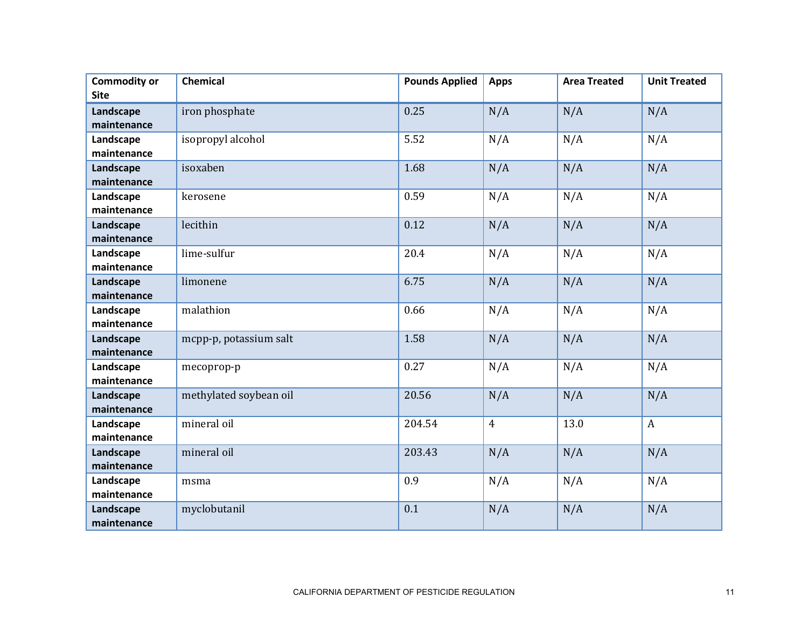| <b>Commodity or</b> | <b>Chemical</b>        | <b>Pounds Applied</b> | <b>Apps</b>    | <b>Area Treated</b> | <b>Unit Treated</b> |
|---------------------|------------------------|-----------------------|----------------|---------------------|---------------------|
| <b>Site</b>         |                        |                       |                |                     |                     |
| Landscape           | iron phosphate         | 0.25                  | N/A            | N/A                 | N/A                 |
| maintenance         |                        |                       |                |                     |                     |
| Landscape           | isopropyl alcohol      | 5.52                  | N/A            | N/A                 | N/A                 |
| maintenance         |                        |                       |                |                     |                     |
| Landscape           | isoxaben               | 1.68                  | N/A            | N/A                 | N/A                 |
| maintenance         |                        |                       |                |                     |                     |
| Landscape           | kerosene               | 0.59                  | N/A            | N/A                 | N/A                 |
| maintenance         |                        |                       |                |                     |                     |
| Landscape           | lecithin               | 0.12                  | N/A            | N/A                 | N/A                 |
| maintenance         |                        |                       |                |                     |                     |
| Landscape           | lime-sulfur            | 20.4                  | N/A            | N/A                 | N/A                 |
| maintenance         |                        |                       |                |                     |                     |
| Landscape           | limonene               | 6.75                  | N/A            | N/A                 | N/A                 |
| maintenance         |                        |                       |                |                     |                     |
| Landscape           | malathion              | 0.66                  | N/A            | N/A                 | N/A                 |
| maintenance         |                        |                       |                |                     |                     |
| Landscape           | mcpp-p, potassium salt | 1.58                  | N/A            | N/A                 | N/A                 |
| maintenance         |                        |                       |                |                     |                     |
| Landscape           | mecoprop-p             | 0.27                  | N/A            | N/A                 | N/A                 |
| maintenance         |                        |                       |                |                     |                     |
| Landscape           | methylated soybean oil | 20.56                 | N/A            | N/A                 | N/A                 |
| maintenance         |                        |                       |                |                     |                     |
| Landscape           | mineral oil            | 204.54                | $\overline{4}$ | 13.0                | $\boldsymbol{A}$    |
| maintenance         |                        |                       |                |                     |                     |
| Landscape           | mineral oil            | 203.43                | N/A            | N/A                 | N/A                 |
| maintenance         |                        |                       |                |                     |                     |
| Landscape           | msma                   | 0.9                   | N/A            | N/A                 | N/A                 |
| maintenance         |                        |                       |                |                     |                     |
| Landscape           | myclobutanil           | 0.1                   | N/A            | N/A                 | N/A                 |
| maintenance         |                        |                       |                |                     |                     |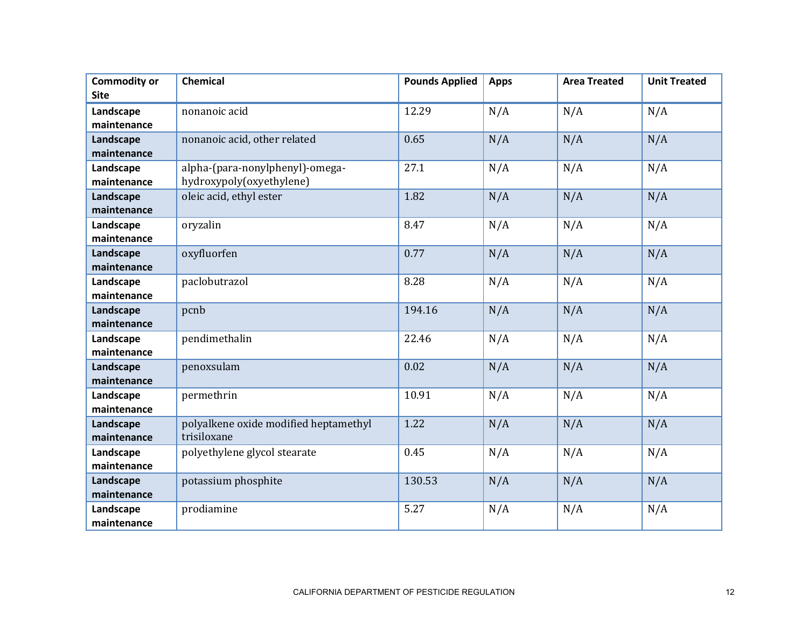| <b>Commodity or</b>      | <b>Chemical</b>                       | <b>Pounds Applied</b> | <b>Apps</b> | <b>Area Treated</b> | <b>Unit Treated</b> |
|--------------------------|---------------------------------------|-----------------------|-------------|---------------------|---------------------|
| <b>Site</b>              |                                       |                       |             |                     |                     |
| Landscape                | nonanoic acid                         | 12.29                 | N/A         | N/A                 | N/A                 |
| maintenance              |                                       |                       |             |                     |                     |
| Landscape                | nonanoic acid, other related          | 0.65                  | N/A         | N/A                 | N/A                 |
| maintenance              |                                       |                       |             |                     |                     |
| Landscape                | alpha-(para-nonylphenyl)-omega-       | 27.1                  | N/A         | N/A                 | N/A                 |
| maintenance              | hydroxypoly(oxyethylene)              |                       |             |                     |                     |
| Landscape                | oleic acid, ethyl ester               | 1.82                  | N/A         | N/A                 | N/A                 |
| maintenance              |                                       |                       |             |                     |                     |
| Landscape                | oryzalin                              | 8.47                  | N/A         | N/A                 | N/A                 |
| maintenance              |                                       |                       |             |                     |                     |
| Landscape                | oxyfluorfen                           | 0.77                  | N/A         | N/A                 | N/A                 |
| maintenance              |                                       |                       |             |                     |                     |
| Landscape                | paclobutrazol                         | 8.28                  | N/A         | N/A                 | N/A                 |
| maintenance              |                                       |                       |             |                     |                     |
| Landscape                | pcnb                                  | 194.16                | N/A         | N/A                 | N/A                 |
| maintenance              |                                       |                       |             |                     |                     |
| Landscape                | pendimethalin                         | 22.46                 | N/A         | N/A                 | N/A                 |
| maintenance              |                                       |                       |             |                     |                     |
| Landscape<br>maintenance | penoxsulam                            | 0.02                  | N/A         | N/A                 | N/A                 |
| Landscape                |                                       | 10.91                 |             | N/A                 | N/A                 |
| maintenance              | permethrin                            |                       | N/A         |                     |                     |
| Landscape                | polyalkene oxide modified heptamethyl | 1.22                  | N/A         | N/A                 | N/A                 |
| maintenance              | trisiloxane                           |                       |             |                     |                     |
| Landscape                | polyethylene glycol stearate          | 0.45                  | N/A         | N/A                 | N/A                 |
| maintenance              |                                       |                       |             |                     |                     |
| Landscape                | potassium phosphite                   | 130.53                | N/A         | N/A                 | N/A                 |
| maintenance              |                                       |                       |             |                     |                     |
| Landscape                | prodiamine                            | 5.27                  | N/A         | N/A                 | N/A                 |
| maintenance              |                                       |                       |             |                     |                     |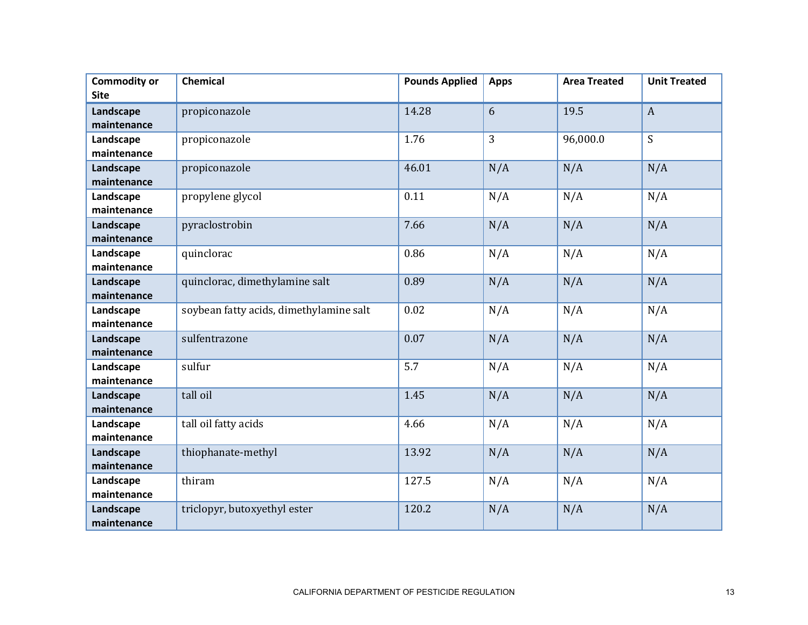| <b>Commodity or</b> | <b>Chemical</b>                         | <b>Pounds Applied</b> | <b>Apps</b>    | <b>Area Treated</b> | <b>Unit Treated</b> |
|---------------------|-----------------------------------------|-----------------------|----------------|---------------------|---------------------|
| <b>Site</b>         |                                         |                       |                |                     |                     |
| Landscape           | propiconazole                           | 14.28                 | 6              | 19.5                | $\overline{A}$      |
| maintenance         |                                         |                       |                |                     |                     |
| Landscape           | propiconazole                           | 1.76                  | $\overline{3}$ | 96,000.0            | S                   |
| maintenance         |                                         |                       |                |                     |                     |
| Landscape           | propiconazole                           | 46.01                 | N/A            | N/A                 | N/A                 |
| maintenance         |                                         |                       |                |                     |                     |
| Landscape           | propylene glycol                        | 0.11                  | N/A            | N/A                 | N/A                 |
| maintenance         |                                         |                       |                |                     |                     |
| Landscape           | pyraclostrobin                          | 7.66                  | N/A            | N/A                 | N/A                 |
| maintenance         |                                         |                       |                |                     |                     |
| Landscape           | quinclorac                              | 0.86                  | N/A            | N/A                 | N/A                 |
| maintenance         |                                         |                       |                |                     |                     |
| Landscape           | quinclorac, dimethylamine salt          | 0.89                  | N/A            | N/A                 | N/A                 |
| maintenance         |                                         |                       |                |                     |                     |
| Landscape           | soybean fatty acids, dimethylamine salt | 0.02                  | N/A            | N/A                 | N/A                 |
| maintenance         |                                         |                       |                |                     |                     |
| Landscape           | sulfentrazone                           | 0.07                  | N/A            | N/A                 | N/A                 |
| maintenance         |                                         |                       |                |                     |                     |
| Landscape           | sulfur                                  | 5.7                   | N/A            | N/A                 | N/A                 |
| maintenance         |                                         |                       |                |                     |                     |
| Landscape           | tall oil                                | 1.45                  | N/A            | N/A                 | N/A                 |
| maintenance         |                                         |                       |                |                     |                     |
| Landscape           | tall oil fatty acids                    | 4.66                  | N/A            | N/A                 | N/A                 |
| maintenance         |                                         |                       |                |                     |                     |
| Landscape           | thiophanate-methyl                      | 13.92                 | N/A            | N/A                 | N/A                 |
| maintenance         |                                         |                       |                |                     |                     |
| Landscape           | thiram                                  | 127.5                 | N/A            | N/A                 | N/A                 |
| maintenance         |                                         |                       |                |                     |                     |
| Landscape           | triclopyr, butoxyethyl ester            | 120.2                 | N/A            | N/A                 | N/A                 |
| maintenance         |                                         |                       |                |                     |                     |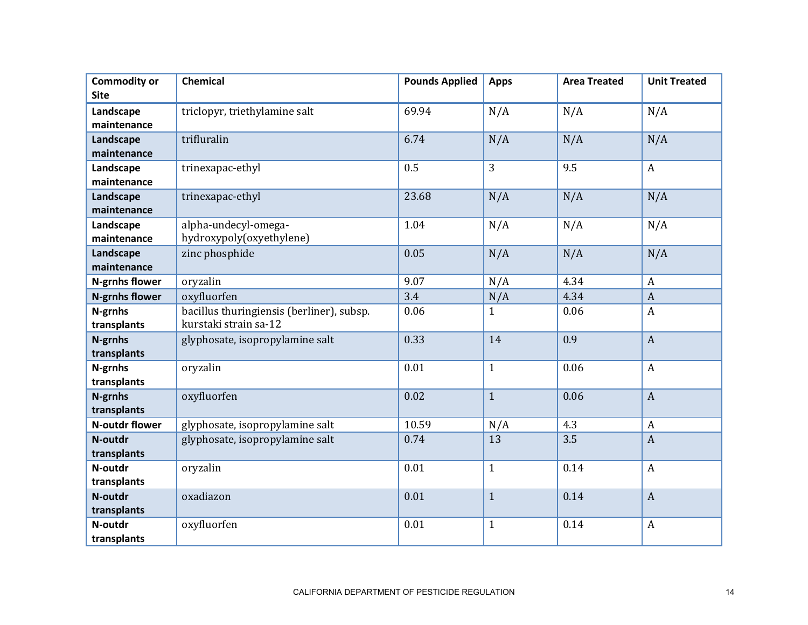| <b>Commodity or</b><br><b>Site</b> | <b>Chemical</b>                                                    | <b>Pounds Applied</b> | <b>Apps</b>  | <b>Area Treated</b> | <b>Unit Treated</b> |
|------------------------------------|--------------------------------------------------------------------|-----------------------|--------------|---------------------|---------------------|
| Landscape<br>maintenance           | triclopyr, triethylamine salt                                      | 69.94                 | N/A          | N/A                 | N/A                 |
| Landscape<br>maintenance           | trifluralin                                                        | 6.74                  | N/A          | N/A                 | N/A                 |
| Landscape<br>maintenance           | trinexapac-ethyl                                                   | 0.5                   | 3            | 9.5                 | $\mathbf{A}$        |
| Landscape<br>maintenance           | trinexapac-ethyl                                                   | 23.68                 | N/A          | N/A                 | N/A                 |
| Landscape<br>maintenance           | alpha-undecyl-omega-<br>hydroxypoly(oxyethylene)                   | 1.04                  | N/A          | N/A                 | N/A                 |
| Landscape<br>maintenance           | zinc phosphide                                                     | 0.05                  | N/A          | N/A                 | N/A                 |
| N-grnhs flower                     | oryzalin                                                           | 9.07                  | N/A          | 4.34                | $\boldsymbol{A}$    |
| <b>N-grnhs flower</b>              | oxyfluorfen                                                        | 3.4                   | N/A          | 4.34                | $\boldsymbol{A}$    |
| N-grnhs<br>transplants             | bacillus thuringiensis (berliner), subsp.<br>kurstaki strain sa-12 | 0.06                  | $\mathbf{1}$ | 0.06                | $\boldsymbol{A}$    |
| N-grnhs<br>transplants             | glyphosate, isopropylamine salt                                    | 0.33                  | 14           | 0.9                 | $\overline{A}$      |
| N-grnhs<br>transplants             | oryzalin                                                           | 0.01                  | $\mathbf{1}$ | 0.06                | $\boldsymbol{A}$    |
| N-grnhs<br>transplants             | oxyfluorfen                                                        | 0.02                  | $\mathbf{1}$ | 0.06                | $\overline{A}$      |
| N-outdr flower                     | glyphosate, isopropylamine salt                                    | 10.59                 | N/A          | 4.3                 | $\boldsymbol{A}$    |
| N-outdr<br>transplants             | glyphosate, isopropylamine salt                                    | 0.74                  | 13           | 3.5                 | $\boldsymbol{A}$    |
| N-outdr<br>transplants             | oryzalin                                                           | 0.01                  | $\mathbf{1}$ | 0.14                | $\boldsymbol{A}$    |
| N-outdr<br>transplants             | oxadiazon                                                          | 0.01                  | $\mathbf{1}$ | 0.14                | $\overline{A}$      |
| N-outdr<br>transplants             | oxyfluorfen                                                        | 0.01                  | $\mathbf{1}$ | 0.14                | $\boldsymbol{A}$    |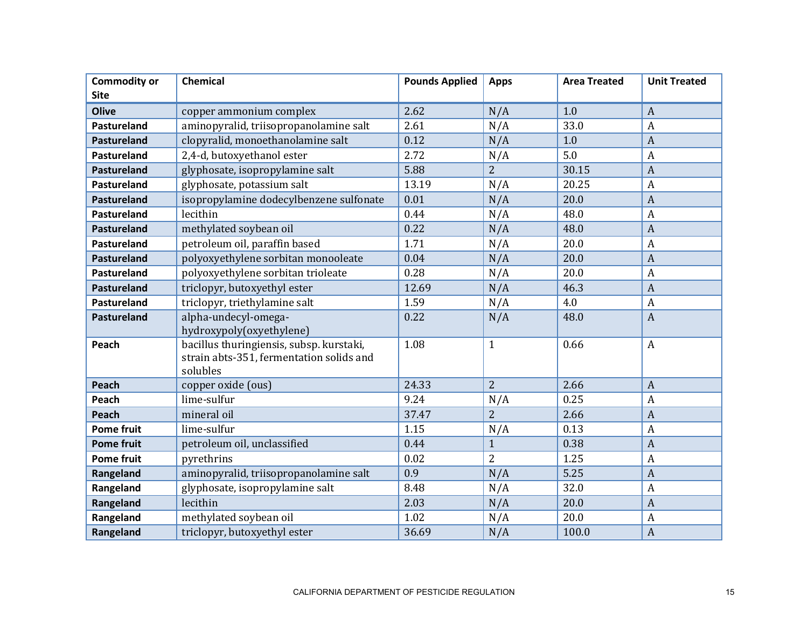| <b>Commodity or</b> | <b>Chemical</b>                                                                                  | <b>Pounds Applied</b> | <b>Apps</b>    | <b>Area Treated</b> | <b>Unit Treated</b> |
|---------------------|--------------------------------------------------------------------------------------------------|-----------------------|----------------|---------------------|---------------------|
| <b>Site</b>         |                                                                                                  |                       |                |                     |                     |
| <b>Olive</b>        | copper ammonium complex                                                                          | 2.62                  | N/A            | 1.0                 | $\overline{A}$      |
| Pastureland         | aminopyralid, triisopropanolamine salt                                                           | 2.61                  | N/A            | 33.0                | $\boldsymbol{A}$    |
| Pastureland         | clopyralid, monoethanolamine salt                                                                | 0.12                  | N/A            | 1.0                 | $\overline{A}$      |
| Pastureland         | 2,4-d, butoxyethanol ester                                                                       | 2.72                  | N/A            | 5.0                 | $\overline{A}$      |
| <b>Pastureland</b>  | glyphosate, isopropylamine salt                                                                  | 5.88                  | $\overline{2}$ | 30.15               | $\overline{A}$      |
| Pastureland         | glyphosate, potassium salt                                                                       | 13.19                 | N/A            | 20.25               | $\overline{A}$      |
| Pastureland         | isopropylamine dodecylbenzene sulfonate                                                          | 0.01                  | N/A            | 20.0                | $\overline{A}$      |
| Pastureland         | lecithin                                                                                         | 0.44                  | N/A            | 48.0                | $\boldsymbol{A}$    |
| <b>Pastureland</b>  | methylated soybean oil                                                                           | 0.22                  | N/A            | 48.0                | $\overline{A}$      |
| Pastureland         | petroleum oil, paraffin based                                                                    | 1.71                  | N/A            | 20.0                | $\boldsymbol{A}$    |
| <b>Pastureland</b>  | polyoxyethylene sorbitan monooleate                                                              | 0.04                  | N/A            | 20.0                | $\overline{A}$      |
| Pastureland         | polyoxyethylene sorbitan trioleate                                                               | 0.28                  | N/A            | 20.0                | $\boldsymbol{A}$    |
| Pastureland         | triclopyr, butoxyethyl ester                                                                     | 12.69                 | N/A            | 46.3                | $\overline{A}$      |
| Pastureland         | triclopyr, triethylamine salt                                                                    | 1.59                  | N/A            | 4.0                 | $\overline{A}$      |
| Pastureland         | alpha-undecyl-omega-<br>hydroxypoly(oxyethylene)                                                 | 0.22                  | N/A            | 48.0                | $\overline{A}$      |
| Peach               | bacillus thuringiensis, subsp. kurstaki,<br>strain abts-351, fermentation solids and<br>solubles | 1.08                  | $\mathbf{1}$   | 0.66                | $\boldsymbol{A}$    |
| Peach               | copper oxide (ous)                                                                               | 24.33                 | $\overline{2}$ | 2.66                | $\overline{A}$      |
| Peach               | lime-sulfur                                                                                      | 9.24                  | N/A            | 0.25                | $\overline{A}$      |
| Peach               | mineral oil                                                                                      | 37.47                 | $\overline{2}$ | 2.66                | $\overline{A}$      |
| <b>Pome fruit</b>   | lime-sulfur                                                                                      | 1.15                  | N/A            | 0.13                | $\boldsymbol{A}$    |
| <b>Pome fruit</b>   | petroleum oil, unclassified                                                                      | 0.44                  | $\mathbf{1}$   | 0.38                | $\overline{A}$      |
| <b>Pome fruit</b>   | pyrethrins                                                                                       | 0.02                  | $\overline{2}$ | 1.25                | $\overline{A}$      |
| Rangeland           | aminopyralid, triisopropanolamine salt                                                           | 0.9                   | N/A            | 5.25                | $\overline{A}$      |
| Rangeland           | glyphosate, isopropylamine salt                                                                  | 8.48                  | N/A            | 32.0                | $\overline{A}$      |
| Rangeland           | lecithin                                                                                         | 2.03                  | N/A            | 20.0                | $\overline{A}$      |
| Rangeland           | methylated soybean oil                                                                           | 1.02                  | N/A            | 20.0                | $\overline{A}$      |
| Rangeland           | triclopyr, butoxyethyl ester                                                                     | 36.69                 | N/A            | 100.0               | $\overline{A}$      |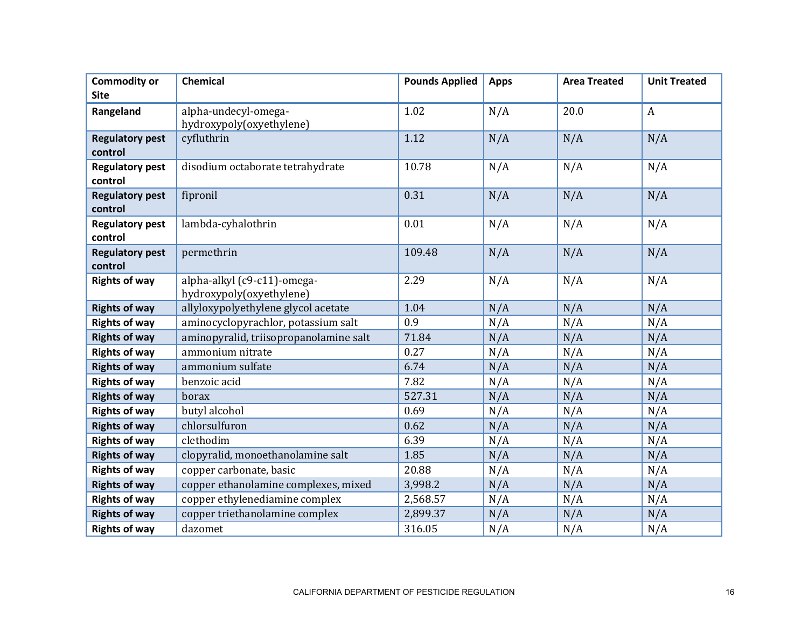| <b>Commodity or</b>               | Chemical                               | <b>Pounds Applied</b> | <b>Apps</b> | <b>Area Treated</b> | <b>Unit Treated</b> |
|-----------------------------------|----------------------------------------|-----------------------|-------------|---------------------|---------------------|
| <b>Site</b>                       |                                        |                       |             |                     |                     |
| Rangeland                         | alpha-undecyl-omega-                   | 1.02                  | N/A         | 20.0                | $\boldsymbol{A}$    |
|                                   | hydroxypoly(oxyethylene)               |                       |             |                     |                     |
| <b>Regulatory pest</b>            | cyfluthrin                             | 1.12                  | N/A         | N/A                 | N/A                 |
| control                           |                                        |                       |             |                     |                     |
| <b>Regulatory pest</b>            | disodium octaborate tetrahydrate       | 10.78                 | N/A         | N/A                 | N/A                 |
| control                           |                                        |                       |             |                     |                     |
| <b>Regulatory pest</b><br>control | fipronil                               | 0.31                  | N/A         | N/A                 | N/A                 |
| <b>Regulatory pest</b>            | lambda-cyhalothrin                     | 0.01                  | N/A         | N/A                 | N/A                 |
| control                           |                                        |                       |             |                     |                     |
| <b>Regulatory pest</b>            | permethrin                             | 109.48                | N/A         | N/A                 | N/A                 |
| control                           |                                        |                       |             |                     |                     |
| <b>Rights of way</b>              | alpha-alkyl (c9-c11)-omega-            | 2.29                  | N/A         | N/A                 | N/A                 |
|                                   | hydroxypoly(oxyethylene)               |                       |             |                     |                     |
| <b>Rights of way</b>              | allyloxypolyethylene glycol acetate    | 1.04                  | N/A         | N/A                 | N/A                 |
| <b>Rights of way</b>              | aminocyclopyrachlor, potassium salt    | 0.9                   | N/A         | N/A                 | N/A                 |
| <b>Rights of way</b>              | aminopyralid, triisopropanolamine salt | 71.84                 | N/A         | N/A                 | N/A                 |
| <b>Rights of way</b>              | ammonium nitrate                       | 0.27                  | N/A         | N/A                 | N/A                 |
| <b>Rights of way</b>              | ammonium sulfate                       | 6.74                  | N/A         | N/A                 | N/A                 |
| <b>Rights of way</b>              | benzoic acid                           | 7.82                  | N/A         | N/A                 | N/A                 |
| <b>Rights of way</b>              | borax                                  | 527.31                | N/A         | N/A                 | N/A                 |
| <b>Rights of way</b>              | butyl alcohol                          | 0.69                  | N/A         | N/A                 | N/A                 |
| <b>Rights of way</b>              | chlorsulfuron                          | 0.62                  | N/A         | N/A                 | N/A                 |
| <b>Rights of way</b>              | clethodim                              | 6.39                  | N/A         | N/A                 | N/A                 |
| <b>Rights of way</b>              | clopyralid, monoethanolamine salt      | 1.85                  | N/A         | N/A                 | N/A                 |
| <b>Rights of way</b>              | copper carbonate, basic                | 20.88                 | N/A         | N/A                 | N/A                 |
| <b>Rights of way</b>              | copper ethanolamine complexes, mixed   | 3,998.2               | N/A         | N/A                 | N/A                 |
| <b>Rights of way</b>              | copper ethylenediamine complex         | 2,568.57              | N/A         | N/A                 | N/A                 |
| <b>Rights of way</b>              | copper triethanolamine complex         | 2,899.37              | N/A         | N/A                 | N/A                 |
| <b>Rights of way</b>              | dazomet                                | 316.05                | N/A         | N/A                 | N/A                 |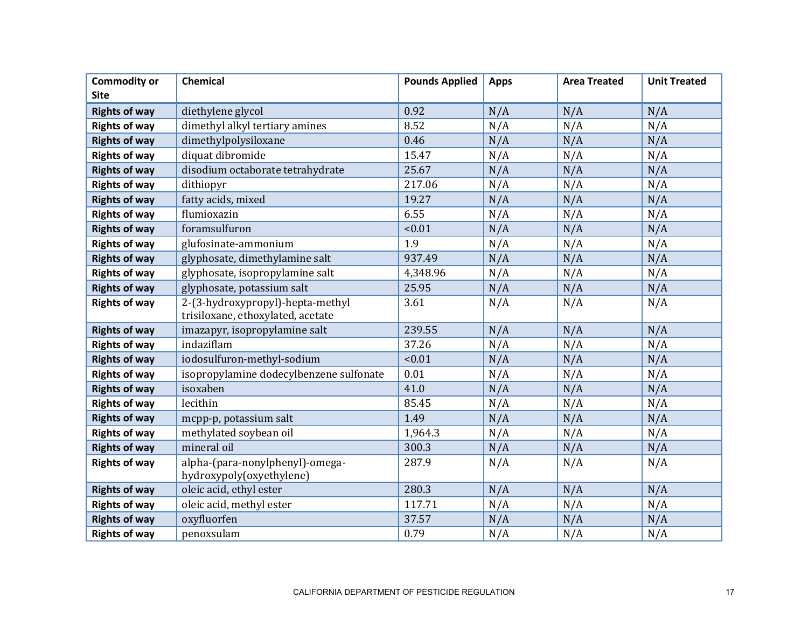| <b>Commodity or</b>  | Chemical                                                              | <b>Pounds Applied</b> | <b>Apps</b> | <b>Area Treated</b> | <b>Unit Treated</b> |
|----------------------|-----------------------------------------------------------------------|-----------------------|-------------|---------------------|---------------------|
| <b>Site</b>          |                                                                       |                       |             |                     |                     |
| <b>Rights of way</b> | diethylene glycol                                                     | 0.92                  | N/A         | N/A                 | N/A                 |
| <b>Rights of way</b> | dimethyl alkyl tertiary amines                                        | 8.52                  | N/A         | N/A                 | N/A                 |
| <b>Rights of way</b> | dimethylpolysiloxane                                                  | 0.46                  | N/A         | N/A                 | N/A                 |
| <b>Rights of way</b> | diquat dibromide                                                      | 15.47                 | N/A         | N/A                 | N/A                 |
| <b>Rights of way</b> | disodium octaborate tetrahydrate                                      | 25.67                 | N/A         | N/A                 | N/A                 |
| <b>Rights of way</b> | dithiopyr                                                             | 217.06                | N/A         | N/A                 | N/A                 |
| <b>Rights of way</b> | fatty acids, mixed                                                    | 19.27                 | N/A         | N/A                 | N/A                 |
| <b>Rights of way</b> | flumioxazin                                                           | 6.55                  | N/A         | N/A                 | N/A                 |
| <b>Rights of way</b> | foramsulfuron                                                         | < 0.01                | N/A         | N/A                 | N/A                 |
| <b>Rights of way</b> | glufosinate-ammonium                                                  | 1.9                   | N/A         | N/A                 | N/A                 |
| <b>Rights of way</b> | glyphosate, dimethylamine salt                                        | 937.49                | N/A         | N/A                 | N/A                 |
| <b>Rights of way</b> | glyphosate, isopropylamine salt                                       | 4,348.96              | N/A         | N/A                 | N/A                 |
| <b>Rights of way</b> | glyphosate, potassium salt                                            | 25.95                 | N/A         | N/A                 | N/A                 |
| <b>Rights of way</b> | 2-(3-hydroxypropyl)-hepta-methyl<br>trisiloxane, ethoxylated, acetate | 3.61                  | N/A         | N/A                 | N/A                 |
| <b>Rights of way</b> | imazapyr, isopropylamine salt                                         | 239.55                | N/A         | N/A                 | N/A                 |
| <b>Rights of way</b> | indaziflam                                                            | 37.26                 | N/A         | N/A                 | N/A                 |
| <b>Rights of way</b> | iodosulfuron-methyl-sodium                                            | < 0.01                | N/A         | N/A                 | N/A                 |
| <b>Rights of way</b> | isopropylamine dodecylbenzene sulfonate                               | 0.01                  | N/A         | N/A                 | N/A                 |
| <b>Rights of way</b> | isoxaben                                                              | 41.0                  | N/A         | N/A                 | N/A                 |
| <b>Rights of way</b> | lecithin                                                              | 85.45                 | N/A         | N/A                 | N/A                 |
| <b>Rights of way</b> | mcpp-p, potassium salt                                                | 1.49                  | N/A         | N/A                 | N/A                 |
| <b>Rights of way</b> | methylated soybean oil                                                | 1,964.3               | N/A         | N/A                 | N/A                 |
| <b>Rights of way</b> | mineral oil                                                           | 300.3                 | N/A         | N/A                 | N/A                 |
| <b>Rights of way</b> | alpha-(para-nonylphenyl)-omega-<br>hydroxypoly(oxyethylene)           | 287.9                 | N/A         | N/A                 | N/A                 |
| <b>Rights of way</b> | oleic acid, ethyl ester                                               | 280.3                 | N/A         | N/A                 | N/A                 |
| <b>Rights of way</b> | oleic acid, methyl ester                                              | 117.71                | N/A         | N/A                 | N/A                 |
| <b>Rights of way</b> | oxyfluorfen                                                           | 37.57                 | N/A         | N/A                 | N/A                 |
| <b>Rights of way</b> | penoxsulam                                                            | 0.79                  | N/A         | N/A                 | N/A                 |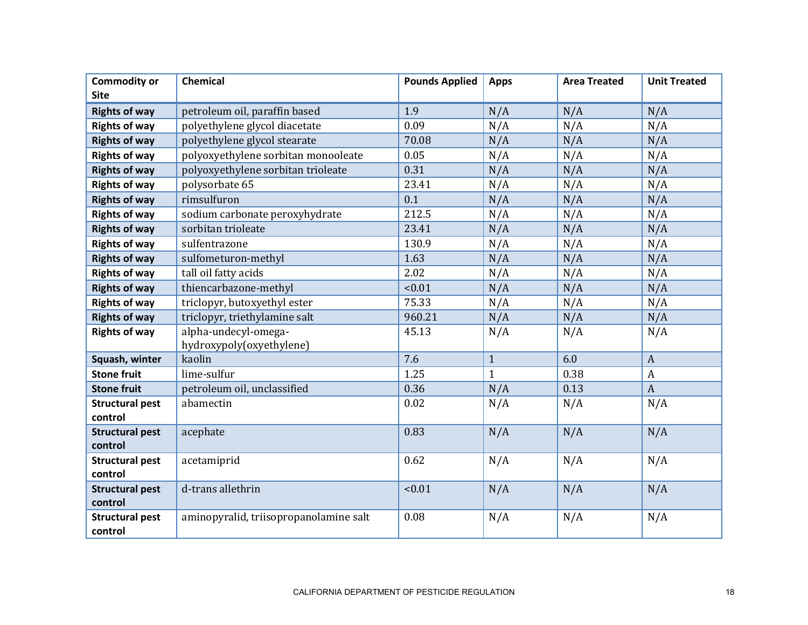| <b>Commodity or</b>               | Chemical                               | <b>Pounds Applied</b> | <b>Apps</b>  | <b>Area Treated</b> | <b>Unit Treated</b> |
|-----------------------------------|----------------------------------------|-----------------------|--------------|---------------------|---------------------|
| <b>Site</b>                       |                                        |                       |              |                     |                     |
| <b>Rights of way</b>              | petroleum oil, paraffin based          | 1.9                   | N/A          | N/A                 | N/A                 |
| <b>Rights of way</b>              | polyethylene glycol diacetate          | 0.09                  | N/A          | N/A                 | N/A                 |
| <b>Rights of way</b>              | polyethylene glycol stearate           | 70.08                 | N/A          | N/A                 | N/A                 |
| <b>Rights of way</b>              | polyoxyethylene sorbitan monooleate    | 0.05                  | N/A          | N/A                 | N/A                 |
| <b>Rights of way</b>              | polyoxyethylene sorbitan trioleate     | 0.31                  | N/A          | N/A                 | N/A                 |
| <b>Rights of way</b>              | polysorbate 65                         | 23.41                 | N/A          | N/A                 | N/A                 |
| <b>Rights of way</b>              | rimsulfuron                            | 0.1                   | N/A          | N/A                 | N/A                 |
| <b>Rights of way</b>              | sodium carbonate peroxyhydrate         | 212.5                 | N/A          | N/A                 | N/A                 |
| <b>Rights of way</b>              | sorbitan trioleate                     | 23.41                 | N/A          | N/A                 | N/A                 |
| <b>Rights of way</b>              | sulfentrazone                          | 130.9                 | N/A          | N/A                 | N/A                 |
| <b>Rights of way</b>              | sulfometuron-methyl                    | 1.63                  | N/A          | N/A                 | N/A                 |
| <b>Rights of way</b>              | tall oil fatty acids                   | 2.02                  | N/A          | N/A                 | N/A                 |
| <b>Rights of way</b>              | thiencarbazone-methyl                  | < 0.01                | N/A          | N/A                 | N/A                 |
| <b>Rights of way</b>              | triclopyr, butoxyethyl ester           | 75.33                 | N/A          | N/A                 | N/A                 |
| <b>Rights of way</b>              | triclopyr, triethylamine salt          | 960.21                | N/A          | N/A                 | N/A                 |
| <b>Rights of way</b>              | alpha-undecyl-omega-                   | 45.13                 | N/A          | N/A                 | N/A                 |
|                                   | hydroxypoly(oxyethylene)               |                       |              |                     |                     |
| Squash, winter                    | kaolin                                 | 7.6                   | $\mathbf{1}$ | 6.0                 | $\overline{A}$      |
| <b>Stone fruit</b>                | lime-sulfur                            | 1.25                  | $\mathbf{1}$ | 0.38                | $\boldsymbol{A}$    |
| <b>Stone fruit</b>                | petroleum oil, unclassified            | 0.36                  | N/A          | 0.13                | $\overline{A}$      |
| <b>Structural pest</b>            | abamectin                              | 0.02                  | N/A          | N/A                 | N/A                 |
| control                           |                                        |                       |              |                     |                     |
| <b>Structural pest</b>            | acephate                               | 0.83                  | N/A          | N/A                 | N/A                 |
| control                           |                                        |                       |              |                     |                     |
| <b>Structural pest</b>            | acetamiprid                            | 0.62                  | N/A          | N/A                 | N/A                 |
| control                           |                                        |                       |              |                     |                     |
| <b>Structural pest</b><br>control | d-trans allethrin                      | < 0.01                | N/A          | N/A                 | N/A                 |
| <b>Structural pest</b>            | aminopyralid, triisopropanolamine salt | 0.08                  | N/A          | N/A                 | N/A                 |
| control                           |                                        |                       |              |                     |                     |
|                                   |                                        |                       |              |                     |                     |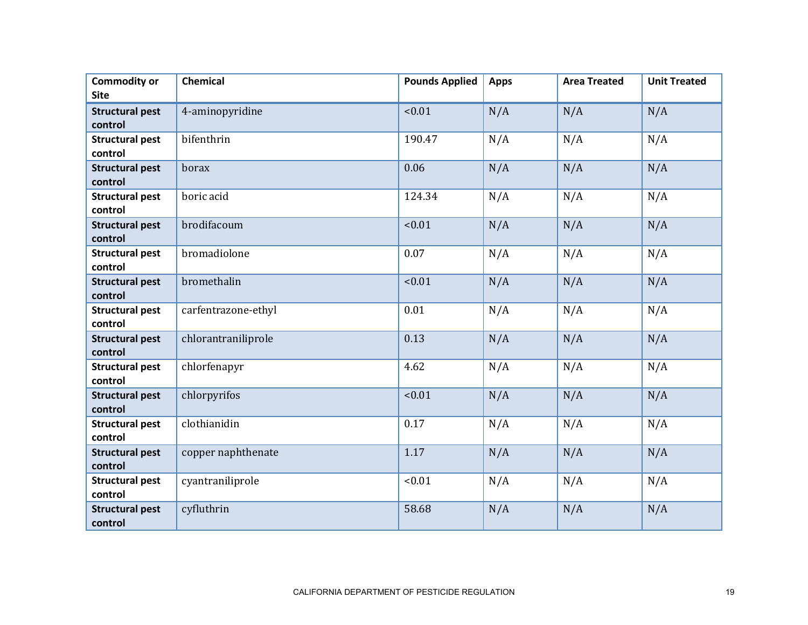| <b>Commodity or</b><br><b>Site</b> | <b>Chemical</b>     | <b>Pounds Applied</b> | <b>Apps</b> | <b>Area Treated</b> | <b>Unit Treated</b> |
|------------------------------------|---------------------|-----------------------|-------------|---------------------|---------------------|
| <b>Structural pest</b><br>control  | 4-aminopyridine     | < 0.01                | N/A         | N/A                 | N/A                 |
| <b>Structural pest</b><br>control  | bifenthrin          | 190.47                | N/A         | N/A                 | N/A                 |
| <b>Structural pest</b><br>control  | borax               | 0.06                  | N/A         | N/A                 | N/A                 |
| <b>Structural pest</b><br>control  | boric acid          | 124.34                | N/A         | N/A                 | N/A                 |
| <b>Structural pest</b><br>control  | brodifacoum         | < 0.01                | N/A         | N/A                 | N/A                 |
| <b>Structural pest</b><br>control  | bromadiolone        | 0.07                  | N/A         | N/A                 | N/A                 |
| <b>Structural pest</b><br>control  | bromethalin         | < 0.01                | N/A         | N/A                 | N/A                 |
| <b>Structural pest</b><br>control  | carfentrazone-ethyl | 0.01                  | N/A         | N/A                 | N/A                 |
| <b>Structural pest</b><br>control  | chlorantraniliprole | 0.13                  | N/A         | N/A                 | N/A                 |
| <b>Structural pest</b><br>control  | chlorfenapyr        | 4.62                  | N/A         | N/A                 | N/A                 |
| <b>Structural pest</b><br>control  | chlorpyrifos        | < 0.01                | N/A         | N/A                 | N/A                 |
| <b>Structural pest</b><br>control  | clothianidin        | 0.17                  | N/A         | N/A                 | N/A                 |
| <b>Structural pest</b><br>control  | copper naphthenate  | 1.17                  | N/A         | N/A                 | N/A                 |
| <b>Structural pest</b><br>control  | cyantraniliprole    | < 0.01                | N/A         | N/A                 | N/A                 |
| <b>Structural pest</b><br>control  | cyfluthrin          | 58.68                 | N/A         | N/A                 | N/A                 |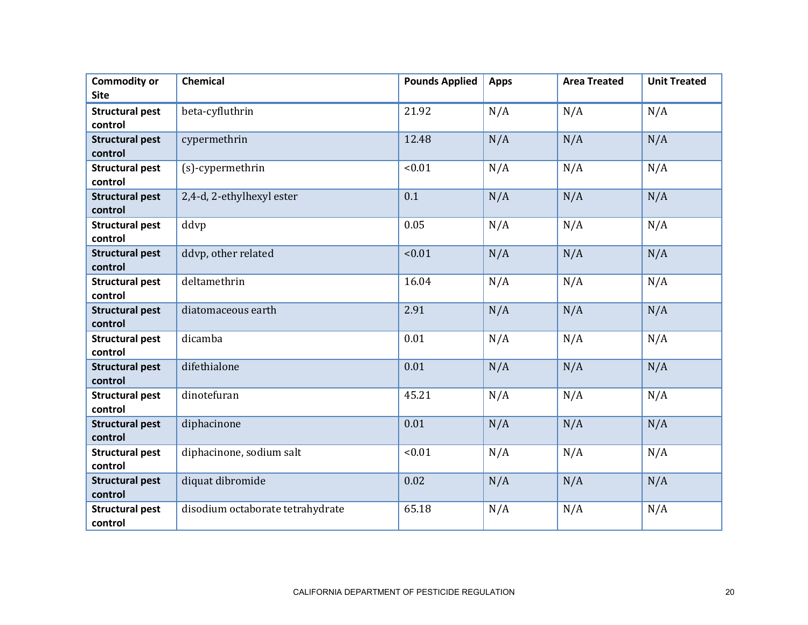| <b>Commodity or</b><br><b>Site</b> | <b>Chemical</b>                  | <b>Pounds Applied</b> | <b>Apps</b> | <b>Area Treated</b> | <b>Unit Treated</b> |
|------------------------------------|----------------------------------|-----------------------|-------------|---------------------|---------------------|
| <b>Structural pest</b><br>control  | beta-cyfluthrin                  | 21.92                 | N/A         | N/A                 | N/A                 |
| <b>Structural pest</b><br>control  | cypermethrin                     | 12.48                 | N/A         | N/A                 | N/A                 |
| <b>Structural pest</b><br>control  | (s)-cypermethrin                 | < 0.01                | N/A         | N/A                 | N/A                 |
| <b>Structural pest</b><br>control  | 2,4-d, 2-ethylhexyl ester        | 0.1                   | N/A         | N/A                 | N/A                 |
| <b>Structural pest</b><br>control  | ddvp                             | 0.05                  | N/A         | N/A                 | N/A                 |
| <b>Structural pest</b><br>control  | ddvp, other related              | < 0.01                | N/A         | N/A                 | N/A                 |
| <b>Structural pest</b><br>control  | deltamethrin                     | 16.04                 | N/A         | N/A                 | N/A                 |
| <b>Structural pest</b><br>control  | diatomaceous earth               | 2.91                  | N/A         | N/A                 | N/A                 |
| <b>Structural pest</b><br>control  | dicamba                          | 0.01                  | N/A         | N/A                 | N/A                 |
| <b>Structural pest</b><br>control  | difethialone                     | 0.01                  | N/A         | N/A                 | N/A                 |
| <b>Structural pest</b><br>control  | dinotefuran                      | 45.21                 | N/A         | N/A                 | N/A                 |
| <b>Structural pest</b><br>control  | diphacinone                      | 0.01                  | N/A         | N/A                 | N/A                 |
| <b>Structural pest</b><br>control  | diphacinone, sodium salt         | < 0.01                | N/A         | N/A                 | N/A                 |
| <b>Structural pest</b><br>control  | diquat dibromide                 | 0.02                  | N/A         | N/A                 | N/A                 |
| <b>Structural pest</b><br>control  | disodium octaborate tetrahydrate | 65.18                 | N/A         | N/A                 | N/A                 |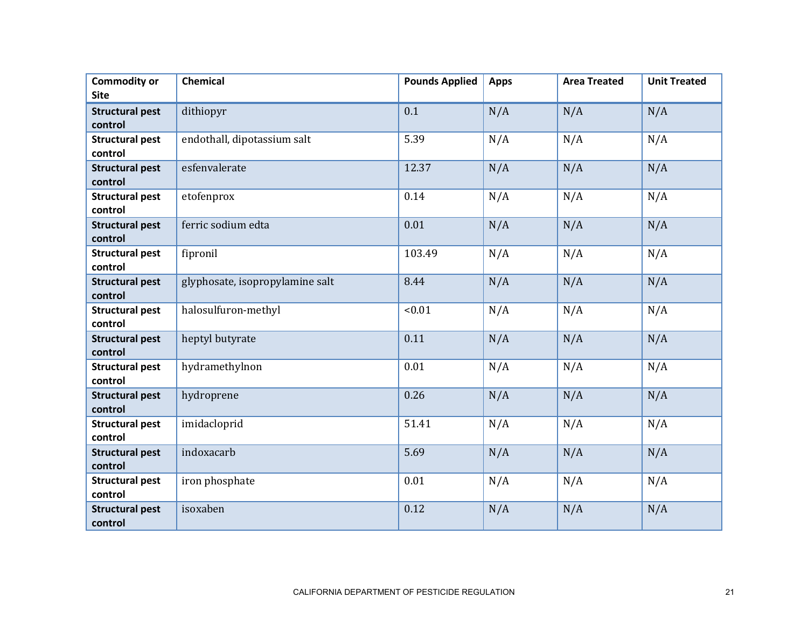| <b>Commodity or</b><br><b>Site</b> | <b>Chemical</b>                 | <b>Pounds Applied</b> | <b>Apps</b> | <b>Area Treated</b> | <b>Unit Treated</b> |
|------------------------------------|---------------------------------|-----------------------|-------------|---------------------|---------------------|
| <b>Structural pest</b>             | dithiopyr                       | 0.1                   | N/A         | N/A                 | N/A                 |
| control                            |                                 |                       |             |                     |                     |
| <b>Structural pest</b>             | endothall, dipotassium salt     | 5.39                  | N/A         | N/A                 | N/A                 |
| control                            | esfenvalerate                   | 12.37                 | N/A         |                     |                     |
| <b>Structural pest</b><br>control  |                                 |                       |             | N/A                 | N/A                 |
| <b>Structural pest</b><br>control  | etofenprox                      | 0.14                  | N/A         | N/A                 | N/A                 |
| <b>Structural pest</b><br>control  | ferric sodium edta              | 0.01                  | N/A         | N/A                 | N/A                 |
| <b>Structural pest</b><br>control  | fipronil                        | 103.49                | N/A         | N/A                 | N/A                 |
| <b>Structural pest</b><br>control  | glyphosate, isopropylamine salt | 8.44                  | N/A         | N/A                 | N/A                 |
| <b>Structural pest</b><br>control  | halosulfuron-methyl             | < 0.01                | N/A         | N/A                 | N/A                 |
| <b>Structural pest</b><br>control  | heptyl butyrate                 | 0.11                  | N/A         | N/A                 | N/A                 |
| <b>Structural pest</b><br>control  | hydramethylnon                  | 0.01                  | N/A         | N/A                 | N/A                 |
| <b>Structural pest</b><br>control  | hydroprene                      | 0.26                  | N/A         | N/A                 | N/A                 |
| <b>Structural pest</b><br>control  | imidacloprid                    | 51.41                 | N/A         | N/A                 | N/A                 |
| <b>Structural pest</b><br>control  | indoxacarb                      | 5.69                  | N/A         | N/A                 | N/A                 |
| <b>Structural pest</b><br>control  | iron phosphate                  | 0.01                  | N/A         | N/A                 | N/A                 |
| <b>Structural pest</b><br>control  | isoxaben                        | 0.12                  | N/A         | N/A                 | N/A                 |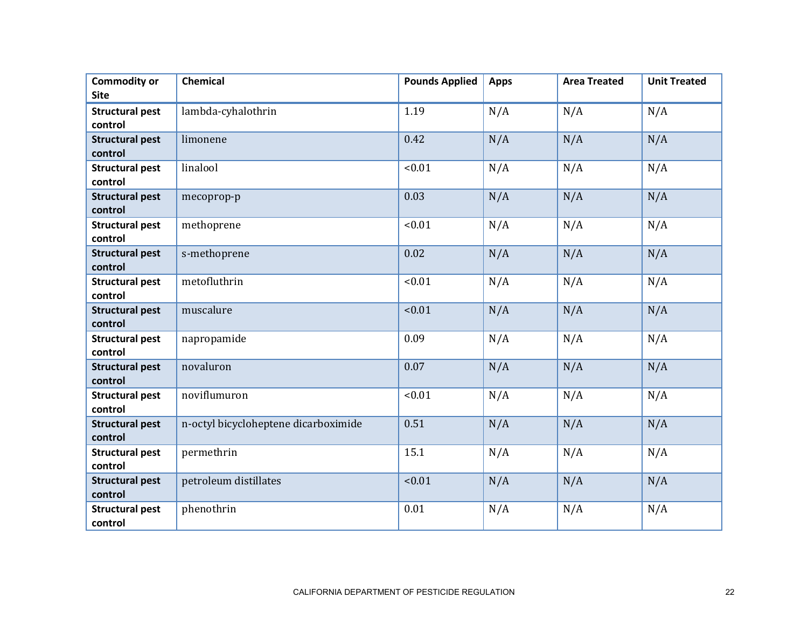| <b>Commodity or</b><br><b>Site</b> | <b>Chemical</b>                      | <b>Pounds Applied</b> | <b>Apps</b> | <b>Area Treated</b> | <b>Unit Treated</b> |
|------------------------------------|--------------------------------------|-----------------------|-------------|---------------------|---------------------|
| <b>Structural pest</b><br>control  | lambda-cyhalothrin                   | 1.19                  | N/A         | N/A                 | N/A                 |
| <b>Structural pest</b><br>control  | limonene                             | 0.42                  | N/A         | N/A                 | N/A                 |
| <b>Structural pest</b><br>control  | linalool                             | < 0.01                | N/A         | N/A                 | N/A                 |
| <b>Structural pest</b><br>control  | mecoprop-p                           | 0.03                  | N/A         | N/A                 | N/A                 |
| <b>Structural pest</b><br>control  | methoprene                           | < 0.01                | N/A         | N/A                 | N/A                 |
| <b>Structural pest</b><br>control  | s-methoprene                         | 0.02                  | N/A         | N/A                 | N/A                 |
| <b>Structural pest</b><br>control  | metofluthrin                         | < 0.01                | N/A         | N/A                 | N/A                 |
| <b>Structural pest</b><br>control  | muscalure                            | < 0.01                | N/A         | N/A                 | N/A                 |
| <b>Structural pest</b><br>control  | napropamide                          | 0.09                  | N/A         | N/A                 | N/A                 |
| <b>Structural pest</b><br>control  | novaluron                            | 0.07                  | N/A         | N/A                 | N/A                 |
| <b>Structural pest</b><br>control  | noviflumuron                         | < 0.01                | N/A         | N/A                 | N/A                 |
| <b>Structural pest</b><br>control  | n-octyl bicycloheptene dicarboximide | 0.51                  | N/A         | N/A                 | N/A                 |
| <b>Structural pest</b><br>control  | permethrin                           | 15.1                  | N/A         | N/A                 | N/A                 |
| <b>Structural pest</b><br>control  | petroleum distillates                | < 0.01                | N/A         | N/A                 | N/A                 |
| <b>Structural pest</b><br>control  | phenothrin                           | 0.01                  | N/A         | N/A                 | N/A                 |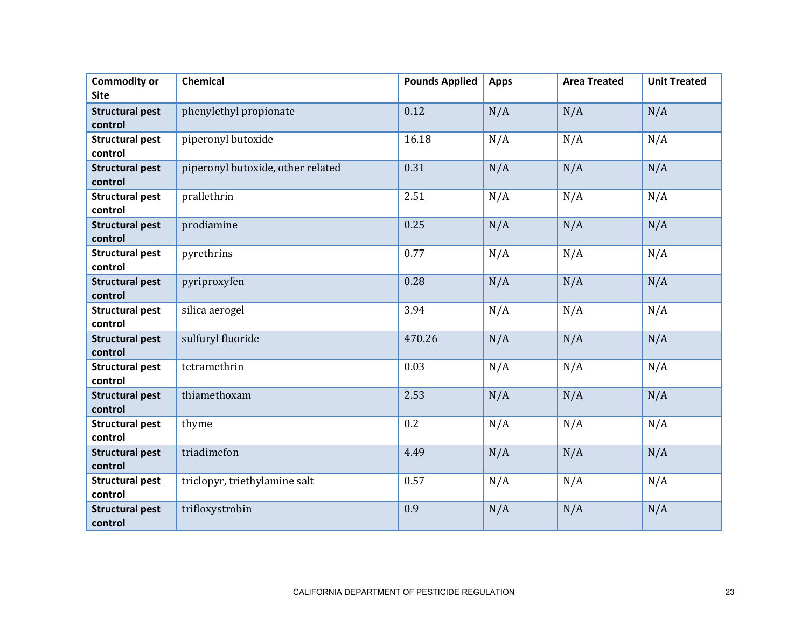| <b>Commodity or</b><br><b>Site</b> | <b>Chemical</b>                   | <b>Pounds Applied</b> | <b>Apps</b> | <b>Area Treated</b> | <b>Unit Treated</b> |
|------------------------------------|-----------------------------------|-----------------------|-------------|---------------------|---------------------|
| <b>Structural pest</b><br>control  | phenylethyl propionate            | 0.12                  | N/A         | N/A                 | N/A                 |
| <b>Structural pest</b><br>control  | piperonyl butoxide                | 16.18                 | N/A         | N/A                 | N/A                 |
| <b>Structural pest</b><br>control  | piperonyl butoxide, other related | 0.31                  | N/A         | N/A                 | N/A                 |
| <b>Structural pest</b><br>control  | prallethrin                       | 2.51                  | N/A         | N/A                 | N/A                 |
| <b>Structural pest</b><br>control  | prodiamine                        | 0.25                  | N/A         | N/A                 | N/A                 |
| <b>Structural pest</b><br>control  | pyrethrins                        | 0.77                  | N/A         | N/A                 | N/A                 |
| <b>Structural pest</b><br>control  | pyriproxyfen                      | 0.28                  | N/A         | N/A                 | N/A                 |
| <b>Structural pest</b><br>control  | silica aerogel                    | 3.94                  | N/A         | N/A                 | N/A                 |
| <b>Structural pest</b><br>control  | sulfuryl fluoride                 | 470.26                | N/A         | N/A                 | N/A                 |
| <b>Structural pest</b><br>control  | tetramethrin                      | 0.03                  | N/A         | N/A                 | N/A                 |
| <b>Structural pest</b><br>control  | thiamethoxam                      | 2.53                  | N/A         | N/A                 | N/A                 |
| <b>Structural pest</b><br>control  | thyme                             | 0.2                   | N/A         | N/A                 | N/A                 |
| <b>Structural pest</b><br>control  | triadimefon                       | 4.49                  | N/A         | N/A                 | N/A                 |
| <b>Structural pest</b><br>control  | triclopyr, triethylamine salt     | 0.57                  | N/A         | N/A                 | N/A                 |
| <b>Structural pest</b><br>control  | trifloxystrobin                   | 0.9                   | N/A         | N/A                 | N/A                 |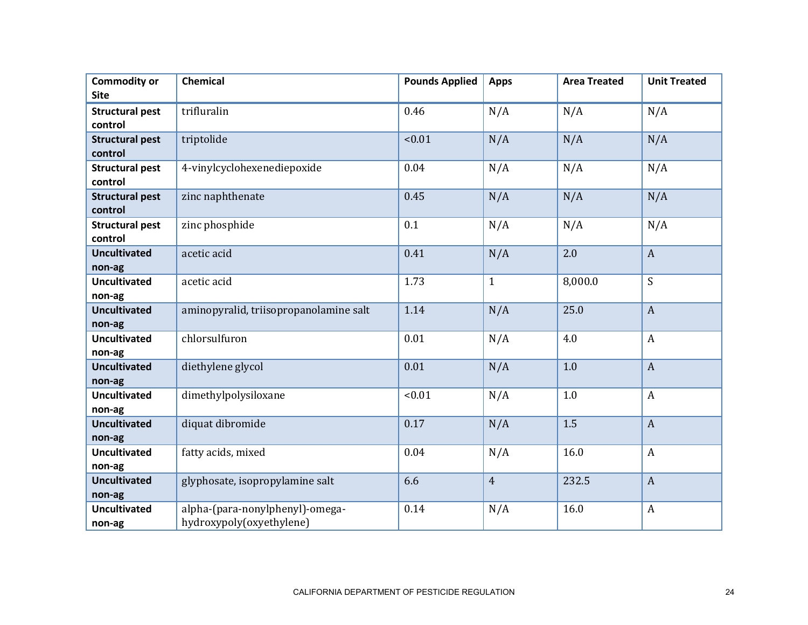| <b>Commodity or</b>    | <b>Chemical</b>                        | <b>Pounds Applied</b> | <b>Apps</b>    | <b>Area Treated</b> | <b>Unit Treated</b> |
|------------------------|----------------------------------------|-----------------------|----------------|---------------------|---------------------|
| <b>Site</b>            |                                        |                       |                |                     |                     |
| <b>Structural pest</b> | trifluralin                            | 0.46                  | N/A            | N/A                 | N/A                 |
| control                |                                        |                       |                |                     |                     |
| <b>Structural pest</b> | triptolide                             | < 0.01                | N/A            | N/A                 | N/A                 |
| control                |                                        |                       |                |                     |                     |
| <b>Structural pest</b> | 4-vinylcyclohexenediepoxide            | 0.04                  | N/A            | N/A                 | N/A                 |
| control                |                                        |                       |                |                     |                     |
| <b>Structural pest</b> | zinc naphthenate                       | 0.45                  | N/A            | N/A                 | N/A                 |
| control                |                                        |                       |                |                     |                     |
| <b>Structural pest</b> | zinc phosphide                         | 0.1                   | N/A            | N/A                 | N/A                 |
| control                |                                        |                       |                |                     |                     |
| <b>Uncultivated</b>    | acetic acid                            | 0.41                  | N/A            | 2.0                 | $\boldsymbol{A}$    |
| non-ag                 |                                        |                       |                |                     |                     |
| <b>Uncultivated</b>    | acetic acid                            | 1.73                  | $\mathbf{1}$   | 8,000.0             | S                   |
| non-ag                 |                                        |                       |                |                     |                     |
| <b>Uncultivated</b>    | aminopyralid, triisopropanolamine salt | 1.14                  | N/A            | 25.0                | $\overline{A}$      |
| non-ag                 |                                        |                       |                |                     |                     |
| <b>Uncultivated</b>    | chlorsulfuron                          | 0.01                  | N/A            | 4.0                 | $\boldsymbol{A}$    |
| non-ag                 |                                        |                       |                |                     |                     |
| <b>Uncultivated</b>    | diethylene glycol                      | 0.01                  | N/A            | 1.0                 | $\mathbf{A}$        |
| non-ag                 |                                        |                       |                |                     |                     |
| <b>Uncultivated</b>    | dimethylpolysiloxane                   | < 0.01                | N/A            | 1.0                 | $\boldsymbol{A}$    |
| non-ag                 |                                        |                       |                |                     |                     |
| <b>Uncultivated</b>    | diquat dibromide                       | 0.17                  | N/A            | 1.5                 | $\overline{A}$      |
| non-ag                 |                                        |                       |                |                     |                     |
| <b>Uncultivated</b>    | fatty acids, mixed                     | 0.04                  | N/A            | 16.0                | $\boldsymbol{A}$    |
| non-ag                 |                                        |                       |                |                     |                     |
| <b>Uncultivated</b>    | glyphosate, isopropylamine salt        | 6.6                   | $\overline{4}$ | 232.5               | $\boldsymbol{A}$    |
| non-ag                 |                                        |                       |                |                     |                     |
| <b>Uncultivated</b>    | alpha-(para-nonylphenyl)-omega-        | 0.14                  | N/A            | 16.0                | $\boldsymbol{A}$    |
| non-ag                 | hydroxypoly(oxyethylene)               |                       |                |                     |                     |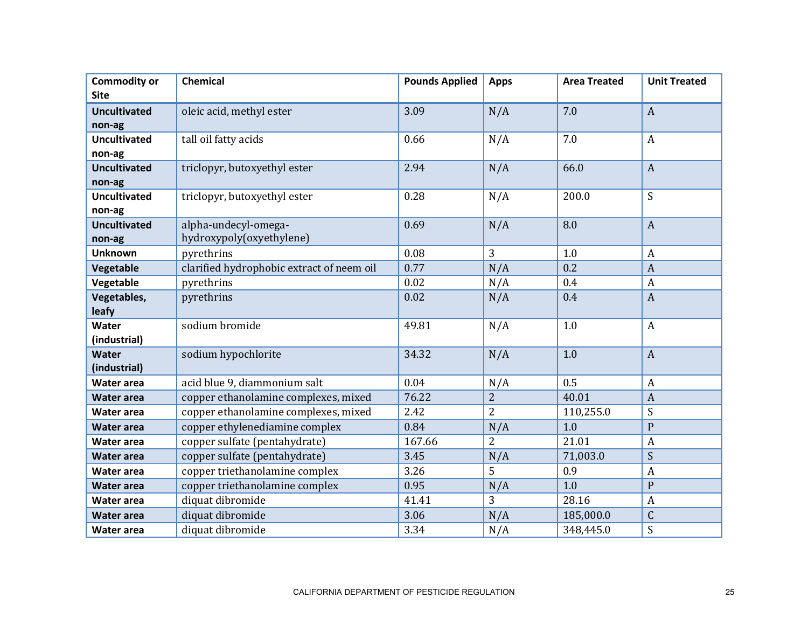| <b>Commodity or</b> | <b>Chemical</b>                           | <b>Pounds Applied</b> | <b>Apps</b>    | <b>Area Treated</b> | <b>Unit Treated</b> |
|---------------------|-------------------------------------------|-----------------------|----------------|---------------------|---------------------|
| <b>Site</b>         |                                           |                       |                |                     |                     |
| <b>Uncultivated</b> | oleic acid, methyl ester                  | 3.09                  | N/A            | 7.0                 | $\overline{A}$      |
| non-ag              |                                           |                       |                |                     |                     |
| <b>Uncultivated</b> | tall oil fatty acids                      | 0.66                  | N/A            | 7.0                 | $\boldsymbol{A}$    |
| non-ag              |                                           |                       |                |                     |                     |
| <b>Uncultivated</b> | triclopyr, butoxyethyl ester              | 2.94                  | N/A            | 66.0                | $\overline{A}$      |
| non-ag              |                                           |                       |                |                     |                     |
| <b>Uncultivated</b> | triclopyr, butoxyethyl ester              | 0.28                  | N/A            | 200.0               | S                   |
| non-ag              |                                           |                       |                |                     |                     |
| <b>Uncultivated</b> | alpha-undecyl-omega-                      | 0.69                  | N/A            | 8.0                 | $\overline{A}$      |
| non-ag              | hydroxypoly(oxyethylene)                  |                       |                |                     |                     |
| <b>Unknown</b>      | pyrethrins                                | 0.08                  | 3              | 1.0                 | $\overline{A}$      |
| Vegetable           | clarified hydrophobic extract of neem oil | 0.77                  | N/A            | 0.2                 | $\overline{A}$      |
| Vegetable           | pyrethrins                                | 0.02                  | N/A            | 0.4                 | $\overline{A}$      |
| Vegetables,         | pyrethrins                                | 0.02                  | N/A            | 0.4                 | $\overline{A}$      |
| leafy               |                                           |                       |                |                     |                     |
| Water               | sodium bromide                            | 49.81                 | N/A            | 1.0                 | $\boldsymbol{A}$    |
| (industrial)        |                                           |                       |                |                     |                     |
| Water               | sodium hypochlorite                       | 34.32                 | N/A            | 1.0                 | $\overline{A}$      |
| (industrial)        |                                           |                       |                |                     |                     |
| <b>Water area</b>   | acid blue 9, diammonium salt              | 0.04                  | N/A            | 0.5                 | $\overline{A}$      |
| <b>Water area</b>   | copper ethanolamine complexes, mixed      | 76.22                 | $\overline{2}$ | 40.01               | $\overline{A}$      |
| <b>Water area</b>   | copper ethanolamine complexes, mixed      | 2.42                  | $\overline{2}$ | 110,255.0           | $\boldsymbol{S}$    |
| <b>Water area</b>   | copper ethylenediamine complex            | 0.84                  | N/A            | 1.0                 | $\mathbf{P}$        |
| Water area          | copper sulfate (pentahydrate)             | 167.66                | $\overline{2}$ | 21.01               | $\overline{A}$      |
| <b>Water area</b>   | copper sulfate (pentahydrate)             | 3.45                  | N/A            | 71,003.0            | $\boldsymbol{S}$    |
| Water area          | copper triethanolamine complex            | 3.26                  | 5              | 0.9                 | $\overline{A}$      |
| <b>Water area</b>   | copper triethanolamine complex            | 0.95                  | N/A            | 1.0                 | ${\bf P}$           |
| Water area          | diquat dibromide                          | 41.41                 | 3              | 28.16               | $\boldsymbol{A}$    |
| <b>Water area</b>   | diquat dibromide                          | 3.06                  | N/A            | 185,000.0           | $\mathsf C$         |
| Water area          | diquat dibromide                          | 3.34                  | N/A            | 348,445.0           | S                   |